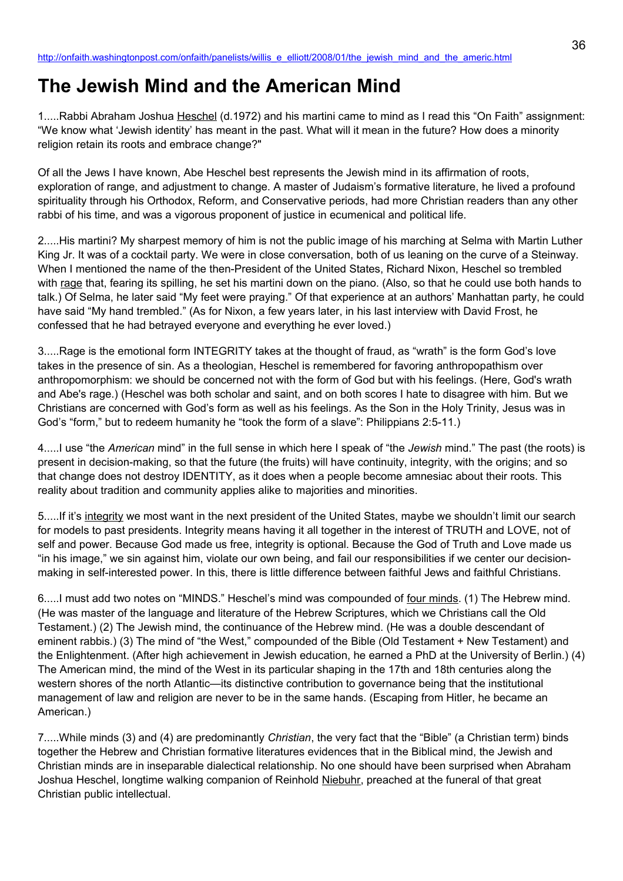# **The Jewish Mind and the American Mind**

1.....Rabbi Abraham Joshua Heschel (d.1972) and his martini came to mind as I read this "On Faith" assignment: "We know what 'Jewish identity' has meant in the past. What will it mean in the future? How does a minority religion retain its roots and embrace change?"

Of all the Jews I have known, Abe Heschel best represents the Jewish mind in its affirmation of roots, exploration of range, and adjustment to change. A master of Judaism's formative literature, he lived a profound spirituality through his Orthodox, Reform, and Conservative periods, had more Christian readers than any other rabbi of his time, and was a vigorous proponent of justice in ecumenical and political life.

2.....His martini? My sharpest memory of him is not the public image of his marching at Selma with Martin Luther King Jr. It was of a cocktail party. We were in close conversation, both of us leaning on the curve of a Steinway. When I mentioned the name of the then-President of the United States, Richard Nixon, Heschel so trembled with rage that, fearing its spilling, he set his martini down on the piano. (Also, so that he could use both hands to talk.) Of Selma, he later said "My feet were praying." Of that experience at an authors' Manhattan party, he could have said "My hand trembled." (As for Nixon, a few years later, in his last interview with David Frost, he confessed that he had betrayed everyone and everything he ever loved.)

3.....Rage is the emotional form INTEGRITY takes at the thought of fraud, as "wrath" is the form God's love takes in the presence of sin. As a theologian, Heschel is remembered for favoring anthropopathism over anthropomorphism: we should be concerned not with the form of God but with his feelings. (Here, God's wrath and Abe's rage.) (Heschel was both scholar and saint, and on both scores I hate to disagree with him. But we Christians are concerned with God's form as well as his feelings. As the Son in the Holy Trinity, Jesus was in God's "form," but to redeem humanity he "took the form of a slave": Philippians 2:5-11.)

4.....I use "the *American* mind" in the full sense in which here I speak of "the *Jewish* mind." The past (the roots) is present in decision-making, so that the future (the fruits) will have continuity, integrity, with the origins; and so that change does not destroy IDENTITY, as it does when a people become amnesiac about their roots. This reality about tradition and community applies alike to majorities and minorities.

5.....If it's integrity we most want in the next president of the United States, maybe we shouldn't limit our search for models to past presidents. Integrity means having it all together in the interest of TRUTH and LOVE, not of self and power. Because God made us free, integrity is optional. Because the God of Truth and Love made us "in his image," we sin against him, violate our own being, and fail our responsibilities if we center our decisionmaking in self-interested power. In this, there is little difference between faithful Jews and faithful Christians.

6.....I must add two notes on "MINDS." Heschel's mind was compounded of four minds. (1) The Hebrew mind. (He was master of the language and literature of the Hebrew Scriptures, which we Christians call the Old Testament.) (2) The Jewish mind, the continuance of the Hebrew mind. (He was a double descendant of eminent rabbis.) (3) The mind of "the West," compounded of the Bible (Old Testament + New Testament) and the Enlightenment. (After high achievement in Jewish education, he earned a PhD at the University of Berlin.) (4) The American mind, the mind of the West in its particular shaping in the 17th and 18th centuries along the western shores of the north Atlantic—its distinctive contribution to governance being that the institutional management of law and religion are never to be in the same hands. (Escaping from Hitler, he became an American.)

7.....While minds (3) and (4) are predominantly *Christian*, the very fact that the "Bible" (a Christian term) binds together the Hebrew and Christian formative literatures evidences that in the Biblical mind, the Jewish and Christian minds are in inseparable dialectical relationship. No one should have been surprised when Abraham Joshua Heschel, longtime walking companion of Reinhold Niebuhr, preached at the funeral of that great Christian public intellectual.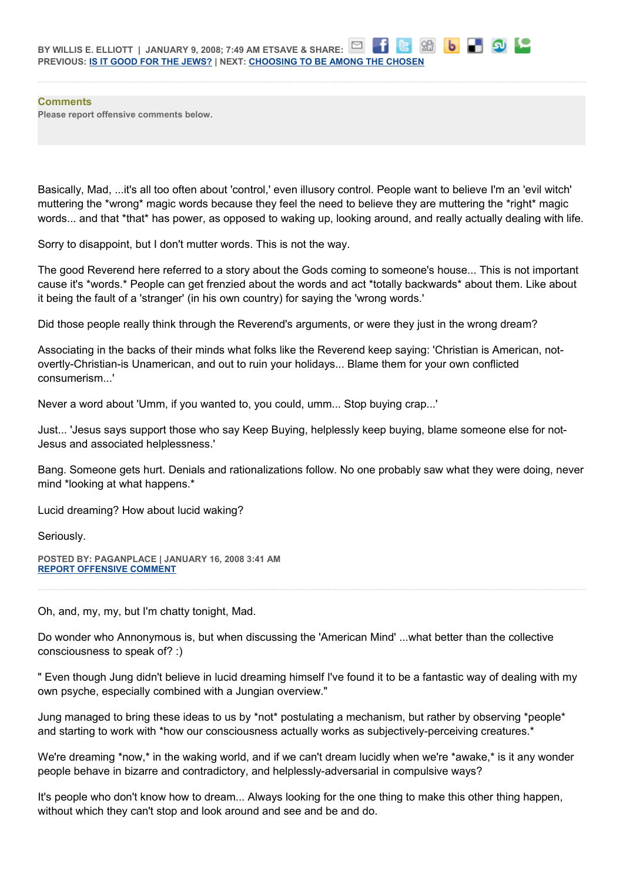**Comments Please report offensive comments below.**

Basically, Mad, ...it's all too often about 'control,' even illusory control. People want to believe I'm an 'evil witch' muttering the \*wrong\* magic words because they feel the need to believe they are muttering the \*right\* magic words... and that \*that\* has power, as opposed to waking up, looking around, and really actually dealing with life.

8日 | b

Sorry to disappoint, but I don't mutter words. This is not the way.

The good Reverend here referred to a story about the Gods coming to someone's house... This is not important cause it's \*words.\* People can get frenzied about the words and act \*totally backwards\* about them. Like about it being the fault of a 'stranger' (in his own country) for saying the 'wrong words.'

Did those people really think through the Reverend's arguments, or were they just in the wrong dream?

Associating in the backs of their minds what folks like the Reverend keep saying: 'Christian is American, notovertly-Christian-is Unamerican, and out to ruin your holidays... Blame them for your own conflicted consumerism...'

Never a word about 'Umm, if you wanted to, you could, umm... Stop buying crap...'

Just... 'Jesus says support those who say Keep Buying, helplessly keep buying, blame someone else for not-Jesus and associated helplessness.'

Bang. Someone gets hurt. Denials and rationalizations follow. No one probably saw what they were doing, never mind \*looking at what happens.\*

Lucid dreaming? How about lucid waking?

Seriously.

**POSTED BY: PAGANPLACE | JANUARY 16, 2008 3:41 AM [REPORT OFFENSIVE COMMENT](mailto:blogs@washingtonpost.com?subject=On%20Faith%20Panelists%20Blog%20%20%7C%20%20Paganplace%20%20%7C%20%20The%20Jewish%20Mind%20and%20the%20American%20Mind%20%20%7C%20%202187640&body=%0D%0D%0D%0D%0D================%0D?__mode=view%26_type=comment%26id=2187640%26blog_id=618)**

Oh, and, my, my, but I'm chatty tonight, Mad.

Do wonder who Annonymous is, but when discussing the 'American Mind' ...what better than the collective consciousness to speak of? :)

" Even though Jung didn't believe in lucid dreaming himself I've found it to be a fantastic way of dealing with my own psyche, especially combined with a Jungian overview."

Jung managed to bring these ideas to us by \*not\* postulating a mechanism, but rather by observing \*people\* and starting to work with \*how our consciousness actually works as subjectively-perceiving creatures.\*

We're dreaming \*now,\* in the waking world, and if we can't dream lucidly when we're \*awake,\* is it any wonder people behave in bizarre and contradictory, and helplessly-adversarial in compulsive ways?

It's people who don't know how to dream... Always looking for the one thing to make this other thing happen, without which they can't stop and look around and see and be and do.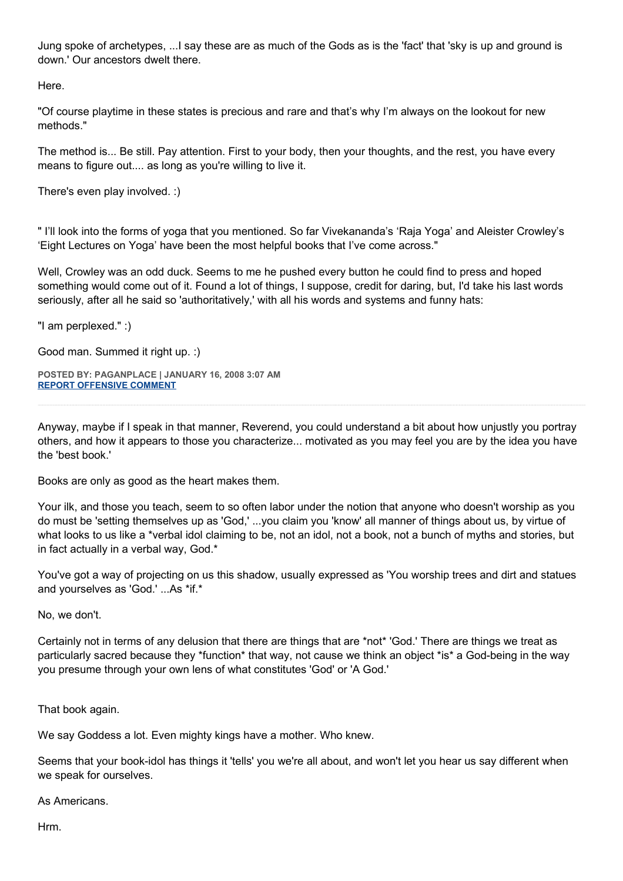Jung spoke of archetypes, ...I say these are as much of the Gods as is the 'fact' that 'sky is up and ground is down.' Our ancestors dwelt there.

Here.

"Of course playtime in these states is precious and rare and that's why I'm always on the lookout for new methods."

The method is... Be still. Pay attention. First to your body, then your thoughts, and the rest, you have every means to figure out.... as long as you're willing to live it.

There's even play involved. :)

" I'll look into the forms of yoga that you mentioned. So far Vivekananda's 'Raja Yoga' and Aleister Crowley's 'Eight Lectures on Yoga' have been the most helpful books that I've come across."

Well, Crowley was an odd duck. Seems to me he pushed every button he could find to press and hoped something would come out of it. Found a lot of things, I suppose, credit for daring, but, I'd take his last words seriously, after all he said so 'authoritatively,' with all his words and systems and funny hats:

"I am perplexed." :)

Good man. Summed it right up. :)

**POSTED BY: PAGANPLACE | JANUARY 16, 2008 3:07 AM [REPORT OFFENSIVE COMMENT](mailto:blogs@washingtonpost.com?subject=On%20Faith%20Panelists%20Blog%20%20%7C%20%20Paganplace%20%20%7C%20%20The%20Jewish%20Mind%20and%20the%20American%20Mind%20%20%7C%20%202187491&body=%0D%0D%0D%0D%0D================%0D?__mode=view%26_type=comment%26id=2187491%26blog_id=618)**

Anyway, maybe if I speak in that manner, Reverend, you could understand a bit about how unjustly you portray others, and how it appears to those you characterize... motivated as you may feel you are by the idea you have the 'best book.'

Books are only as good as the heart makes them.

Your ilk, and those you teach, seem to so often labor under the notion that anyone who doesn't worship as you do must be 'setting themselves up as 'God,' ...you claim you 'know' all manner of things about us, by virtue of what looks to us like a \*verbal idol claiming to be, not an idol, not a book, not a bunch of myths and stories, but in fact actually in a verbal way, God.\*

You've got a way of projecting on us this shadow, usually expressed as 'You worship trees and dirt and statues and yourselves as 'God.' ...As \*if.\*

No, we don't.

Certainly not in terms of any delusion that there are things that are \*not\* 'God.' There are things we treat as particularly sacred because they \*function\* that way, not cause we think an object \*is\* a God-being in the way you presume through your own lens of what constitutes 'God' or 'A God.'

That book again.

We say Goddess a lot. Even mighty kings have a mother. Who knew.

Seems that your book-idol has things it 'tells' you we're all about, and won't let you hear us say different when we speak for ourselves.

As Americans.

Hrm.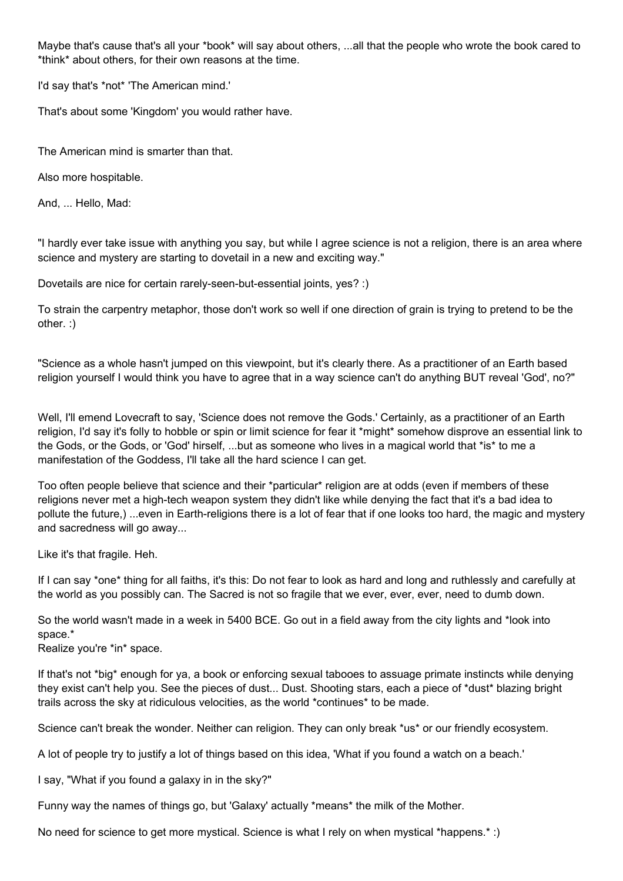Maybe that's cause that's all your \*book\* will say about others, ...all that the people who wrote the book cared to \*think\* about others, for their own reasons at the time.

I'd say that's \*not\* 'The American mind.'

That's about some 'Kingdom' you would rather have.

The American mind is smarter than that.

Also more hospitable.

And, ... Hello, Mad:

"I hardly ever take issue with anything you say, but while I agree science is not a religion, there is an area where science and mystery are starting to dovetail in a new and exciting way."

Dovetails are nice for certain rarely-seen-but-essential joints, yes? :)

To strain the carpentry metaphor, those don't work so well if one direction of grain is trying to pretend to be the other. :)

"Science as a whole hasn't jumped on this viewpoint, but it's clearly there. As a practitioner of an Earth based religion yourself I would think you have to agree that in a way science can't do anything BUT reveal 'God', no?"

Well, I'll emend Lovecraft to say, 'Science does not remove the Gods.' Certainly, as a practitioner of an Earth religion, I'd say it's folly to hobble or spin or limit science for fear it \*might\* somehow disprove an essential link to the Gods, or the Gods, or 'God' hirself, ...but as someone who lives in a magical world that \*is\* to me a manifestation of the Goddess, I'll take all the hard science I can get.

Too often people believe that science and their \*particular\* religion are at odds (even if members of these religions never met a high-tech weapon system they didn't like while denying the fact that it's a bad idea to pollute the future,) ...even in Earth-religions there is a lot of fear that if one looks too hard, the magic and mystery and sacredness will go away...

Like it's that fragile. Heh.

If I can say \*one\* thing for all faiths, it's this: Do not fear to look as hard and long and ruthlessly and carefully at the world as you possibly can. The Sacred is not so fragile that we ever, ever, ever, need to dumb down.

So the world wasn't made in a week in 5400 BCE. Go out in a field away from the city lights and \*look into space.\*

Realize you're \*in\* space.

If that's not \*big\* enough for ya, a book or enforcing sexual tabooes to assuage primate instincts while denying they exist can't help you. See the pieces of dust... Dust. Shooting stars, each a piece of \*dust\* blazing bright trails across the sky at ridiculous velocities, as the world \*continues\* to be made.

Science can't break the wonder. Neither can religion. They can only break \*us\* or our friendly ecosystem.

A lot of people try to justify a lot of things based on this idea, 'What if you found a watch on a beach.'

I say, "What if you found a galaxy in in the sky?"

Funny way the names of things go, but 'Galaxy' actually \*means\* the milk of the Mother.

No need for science to get more mystical. Science is what I rely on when mystical \*happens.\* :)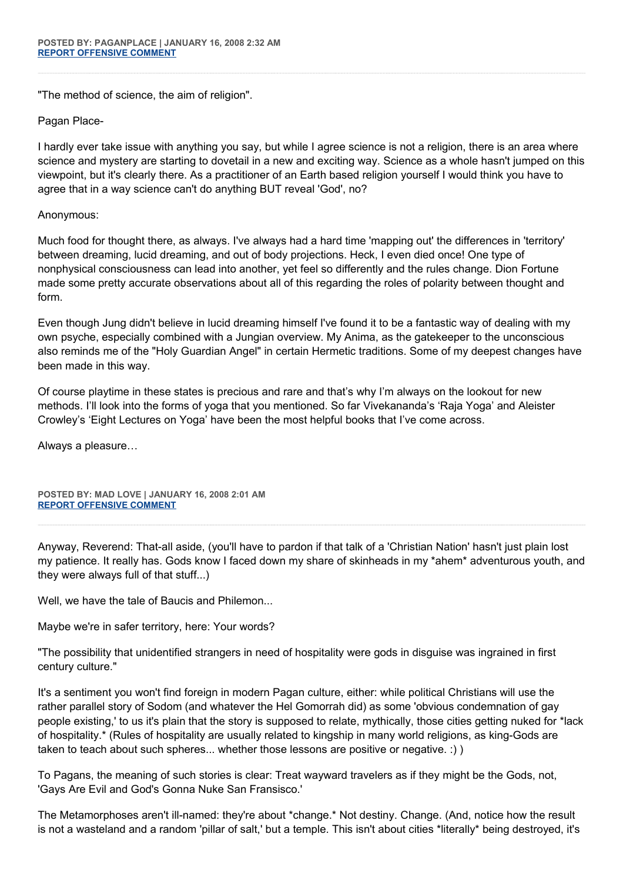"The method of science, the aim of religion".

Pagan Place-

I hardly ever take issue with anything you say, but while I agree science is not a religion, there is an area where science and mystery are starting to dovetail in a new and exciting way. Science as a whole hasn't jumped on this viewpoint, but it's clearly there. As a practitioner of an Earth based religion yourself I would think you have to agree that in a way science can't do anything BUT reveal 'God', no?

## Anonymous:

Much food for thought there, as always. I've always had a hard time 'mapping out' the differences in 'territory' between dreaming, lucid dreaming, and out of body projections. Heck, I even died once! One type of nonphysical consciousness can lead into another, yet feel so differently and the rules change. Dion Fortune made some pretty accurate observations about all of this regarding the roles of polarity between thought and form.

Even though Jung didn't believe in lucid dreaming himself I've found it to be a fantastic way of dealing with my own psyche, especially combined with a Jungian overview. My Anima, as the gatekeeper to the unconscious also reminds me of the "Holy Guardian Angel" in certain Hermetic traditions. Some of my deepest changes have been made in this way.

Of course playtime in these states is precious and rare and that's why I'm always on the lookout for new methods. I'll look into the forms of yoga that you mentioned. So far Vivekananda's 'Raja Yoga' and Aleister Crowley's 'Eight Lectures on Yoga' have been the most helpful books that I've come across.

Always a pleasure…

**POSTED BY: MAD LOVE | JANUARY 16, 2008 2:01 AM [REPORT OFFENSIVE COMMENT](mailto:blogs@washingtonpost.com?subject=On%20Faith%20Panelists%20Blog%20%20%7C%20%20Mad%20Love%20%20%7C%20%20The%20Jewish%20Mind%20and%20the%20American%20Mind%20%20%7C%20%202187171&body=%0D%0D%0D%0D%0D================%0D?__mode=view%26_type=comment%26id=2187171%26blog_id=618)**

Anyway, Reverend: That-all aside, (you'll have to pardon if that talk of a 'Christian Nation' hasn't just plain lost my patience. It really has. Gods know I faced down my share of skinheads in my \*ahem\* adventurous youth, and they were always full of that stuff...)

Well, we have the tale of Baucis and Philemon...

Maybe we're in safer territory, here: Your words?

"The possibility that unidentified strangers in need of hospitality were gods in disguise was ingrained in first century culture."

It's a sentiment you won't find foreign in modern Pagan culture, either: while political Christians will use the rather parallel story of Sodom (and whatever the Hel Gomorrah did) as some 'obvious condemnation of gay people existing,' to us it's plain that the story is supposed to relate, mythically, those cities getting nuked for \*lack of hospitality.\* (Rules of hospitality are usually related to kingship in many world religions, as king-Gods are taken to teach about such spheres... whether those lessons are positive or negative. :) )

To Pagans, the meaning of such stories is clear: Treat wayward travelers as if they might be the Gods, not, 'Gays Are Evil and God's Gonna Nuke San Fransisco.'

The Metamorphoses aren't ill-named: they're about \*change.\* Not destiny. Change. (And, notice how the result is not a wasteland and a random 'pillar of salt,' but a temple. This isn't about cities \*literally\* being destroyed, it's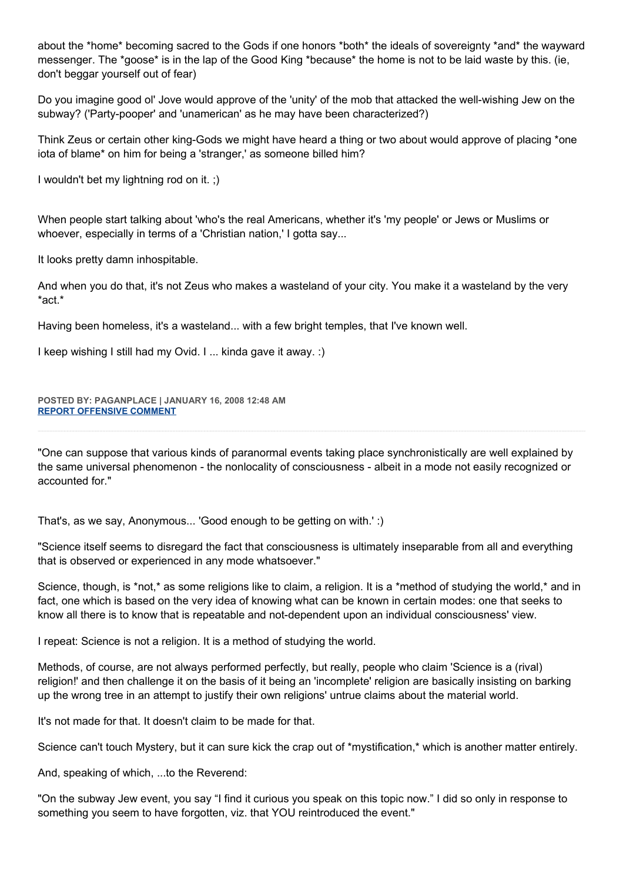about the \*home\* becoming sacred to the Gods if one honors \*both\* the ideals of sovereignty \*and\* the wayward messenger. The \*goose\* is in the lap of the Good King \*because\* the home is not to be laid waste by this. (ie, don't beggar yourself out of fear)

Do you imagine good ol' Jove would approve of the 'unity' of the mob that attacked the well-wishing Jew on the subway? ('Party-pooper' and 'unamerican' as he may have been characterized?)

Think Zeus or certain other king-Gods we might have heard a thing or two about would approve of placing \*one iota of blame\* on him for being a 'stranger,' as someone billed him?

I wouldn't bet my lightning rod on it. ;)

When people start talking about 'who's the real Americans, whether it's 'my people' or Jews or Muslims or whoever, especially in terms of a 'Christian nation,' I gotta say...

It looks pretty damn inhospitable.

And when you do that, it's not Zeus who makes a wasteland of your city. You make it a wasteland by the very \*act.\*

Having been homeless, it's a wasteland... with a few bright temples, that I've known well.

I keep wishing I still had my Ovid. I ... kinda gave it away. :)

**POSTED BY: PAGANPLACE | JANUARY 16, 2008 12:48 AM [REPORT OFFENSIVE COMMENT](mailto:blogs@washingtonpost.com?subject=On%20Faith%20Panelists%20Blog%20%20%7C%20%20Paganplace%20%20%7C%20%20The%20Jewish%20Mind%20and%20the%20American%20Mind%20%20%7C%20%202186764&body=%0D%0D%0D%0D%0D================%0D?__mode=view%26_type=comment%26id=2186764%26blog_id=618)**

"One can suppose that various kinds of paranormal events taking place synchronistically are well explained by the same universal phenomenon - the nonlocality of consciousness - albeit in a mode not easily recognized or accounted for."

That's, as we say, Anonymous... 'Good enough to be getting on with.' :)

"Science itself seems to disregard the fact that consciousness is ultimately inseparable from all and everything that is observed or experienced in any mode whatsoever."

Science, though, is \*not,\* as some religions like to claim, a religion. It is a \*method of studying the world,\* and in fact, one which is based on the very idea of knowing what can be known in certain modes: one that seeks to know all there is to know that is repeatable and not-dependent upon an individual consciousness' view.

I repeat: Science is not a religion. It is a method of studying the world.

Methods, of course, are not always performed perfectly, but really, people who claim 'Science is a (rival) religion!' and then challenge it on the basis of it being an 'incomplete' religion are basically insisting on barking up the wrong tree in an attempt to justify their own religions' untrue claims about the material world.

It's not made for that. It doesn't claim to be made for that.

Science can't touch Mystery, but it can sure kick the crap out of \*mystification,\* which is another matter entirely.

And, speaking of which, ...to the Reverend:

"On the subway Jew event, you say "I find it curious you speak on this topic now." I did so only in response to something you seem to have forgotten, viz. that YOU reintroduced the event."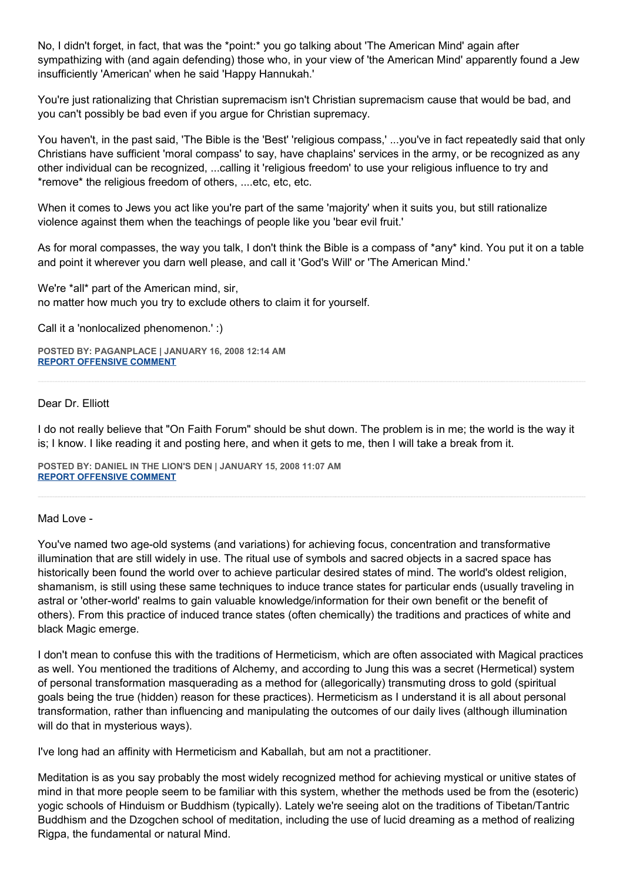No, I didn't forget, in fact, that was the \*point:\* you go talking about 'The American Mind' again after sympathizing with (and again defending) those who, in your view of 'the American Mind' apparently found a Jew insufficiently 'American' when he said 'Happy Hannukah.'

You're just rationalizing that Christian supremacism isn't Christian supremacism cause that would be bad, and you can't possibly be bad even if you argue for Christian supremacy.

You haven't, in the past said, 'The Bible is the 'Best' 'religious compass,' ...you've in fact repeatedly said that only Christians have sufficient 'moral compass' to say, have chaplains' services in the army, or be recognized as any other individual can be recognized, ...calling it 'religious freedom' to use your religious influence to try and \*remove\* the religious freedom of others, ....etc, etc, etc.

When it comes to Jews you act like you're part of the same 'majority' when it suits you, but still rationalize violence against them when the teachings of people like you 'bear evil fruit.'

As for moral compasses, the way you talk, I don't think the Bible is a compass of \*any\* kind. You put it on a table and point it wherever you darn well please, and call it 'God's Will' or 'The American Mind.'

We're \*all\* part of the American mind, sir, no matter how much you try to exclude others to claim it for yourself.

Call it a 'nonlocalized phenomenon.' :)

**POSTED BY: PAGANPLACE | JANUARY 16, 2008 12:14 AM [REPORT OFFENSIVE COMMENT](mailto:blogs@washingtonpost.com?subject=On%20Faith%20Panelists%20Blog%20%20%7C%20%20Paganplace%20%20%7C%20%20The%20Jewish%20Mind%20and%20the%20American%20Mind%20%20%7C%20%202186579&body=%0D%0D%0D%0D%0D================%0D?__mode=view%26_type=comment%26id=2186579%26blog_id=618)**

#### Dear Dr. Elliott

I do not really believe that "On Faith Forum" should be shut down. The problem is in me; the world is the way it is; I know. I like reading it and posting here, and when it gets to me, then I will take a break from it.

**POSTED BY: DANIEL IN THE LION'S DEN | JANUARY 15, 2008 11:07 AM [REPORT OFFENSIVE COMMENT](mailto:blogs@washingtonpost.com?subject=On%20Faith%20Panelists%20Blog%20%20%7C%20%20Daniel%20in%20the%20Lion)**

#### Mad Love -

You've named two age-old systems (and variations) for achieving focus, concentration and transformative illumination that are still widely in use. The ritual use of symbols and sacred objects in a sacred space has historically been found the world over to achieve particular desired states of mind. The world's oldest religion, shamanism, is still using these same techniques to induce trance states for particular ends (usually traveling in astral or 'other-world' realms to gain valuable knowledge/information for their own benefit or the benefit of others). From this practice of induced trance states (often chemically) the traditions and practices of white and black Magic emerge.

I don't mean to confuse this with the traditions of Hermeticism, which are often associated with Magical practices as well. You mentioned the traditions of Alchemy, and according to Jung this was a secret (Hermetical) system of personal transformation masquerading as a method for (allegorically) transmuting dross to gold (spiritual goals being the true (hidden) reason for these practices). Hermeticism as I understand it is all about personal transformation, rather than influencing and manipulating the outcomes of our daily lives (although illumination will do that in mysterious ways).

I've long had an affinity with Hermeticism and Kaballah, but am not a practitioner.

Meditation is as you say probably the most widely recognized method for achieving mystical or unitive states of mind in that more people seem to be familiar with this system, whether the methods used be from the (esoteric) yogic schools of Hinduism or Buddhism (typically). Lately we're seeing alot on the traditions of Tibetan/Tantric Buddhism and the Dzogchen school of meditation, including the use of lucid dreaming as a method of realizing Rigpa, the fundamental or natural Mind.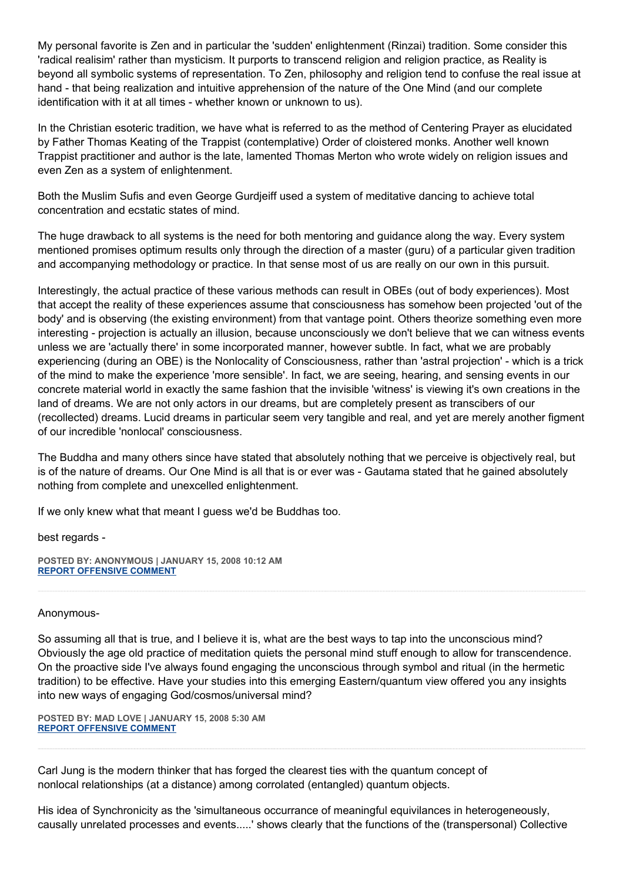My personal favorite is Zen and in particular the 'sudden' enlightenment (Rinzai) tradition. Some consider this 'radical realisim' rather than mysticism. It purports to transcend religion and religion practice, as Reality is beyond all symbolic systems of representation. To Zen, philosophy and religion tend to confuse the real issue at hand - that being realization and intuitive apprehension of the nature of the One Mind (and our complete identification with it at all times - whether known or unknown to us).

In the Christian esoteric tradition, we have what is referred to as the method of Centering Prayer as elucidated by Father Thomas Keating of the Trappist (contemplative) Order of cloistered monks. Another well known Trappist practitioner and author is the late, lamented Thomas Merton who wrote widely on religion issues and even Zen as a system of enlightenment.

Both the Muslim Sufis and even George Gurdjeiff used a system of meditative dancing to achieve total concentration and ecstatic states of mind.

The huge drawback to all systems is the need for both mentoring and guidance along the way. Every system mentioned promises optimum results only through the direction of a master (guru) of a particular given tradition and accompanying methodology or practice. In that sense most of us are really on our own in this pursuit.

Interestingly, the actual practice of these various methods can result in OBEs (out of body experiences). Most that accept the reality of these experiences assume that consciousness has somehow been projected 'out of the body' and is observing (the existing environment) from that vantage point. Others theorize something even more interesting - projection is actually an illusion, because unconsciously we don't believe that we can witness events unless we are 'actually there' in some incorporated manner, however subtle. In fact, what we are probably experiencing (during an OBE) is the Nonlocality of Consciousness, rather than 'astral projection' - which is a trick of the mind to make the experience 'more sensible'. In fact, we are seeing, hearing, and sensing events in our concrete material world in exactly the same fashion that the invisible 'witness' is viewing it's own creations in the land of dreams. We are not only actors in our dreams, but are completely present as transcibers of our (recollected) dreams. Lucid dreams in particular seem very tangible and real, and yet are merely another figment of our incredible 'nonlocal' consciousness.

The Buddha and many others since have stated that absolutely nothing that we perceive is objectively real, but is of the nature of dreams. Our One Mind is all that is or ever was - Gautama stated that he gained absolutely nothing from complete and unexcelled enlightenment.

If we only knew what that meant I guess we'd be Buddhas too.

best regards -

**POSTED BY: ANONYMOUS | JANUARY 15, 2008 10:12 AM [REPORT OFFENSIVE COMMENT](mailto:blogs@washingtonpost.com?subject=On%20Faith%20Panelists%20Blog%20%20%7C%20%20Anonymous%20%20%7C%20%20The%20Jewish%20Mind%20and%20the%20American%20Mind%20%20%7C%20%202181838&body=%0D%0D%0D%0D%0D================%0D?__mode=view%26_type=comment%26id=2181838%26blog_id=618)**

#### Anonymous-

So assuming all that is true, and I believe it is, what are the best ways to tap into the unconscious mind? Obviously the age old practice of meditation quiets the personal mind stuff enough to allow for transcendence. On the proactive side I've always found engaging the unconscious through symbol and ritual (in the hermetic tradition) to be effective. Have your studies into this emerging Eastern/quantum view offered you any insights into new ways of engaging God/cosmos/universal mind?

**POSTED BY: MAD LOVE | JANUARY 15, 2008 5:30 AM [REPORT OFFENSIVE COMMENT](mailto:blogs@washingtonpost.com?subject=On%20Faith%20Panelists%20Blog%20%20%7C%20%20Mad%20Love%20%20%7C%20%20The%20Jewish%20Mind%20and%20the%20American%20Mind%20%20%7C%20%202180300&body=%0D%0D%0D%0D%0D================%0D?__mode=view%26_type=comment%26id=2180300%26blog_id=618)**

Carl Jung is the modern thinker that has forged the clearest ties with the quantum concept of nonlocal relationships (at a distance) among corrolated (entangled) quantum objects.

His idea of Synchronicity as the 'simultaneous occurrance of meaningful equivilances in heterogeneously, causally unrelated processes and events.....' shows clearly that the functions of the (transpersonal) Collective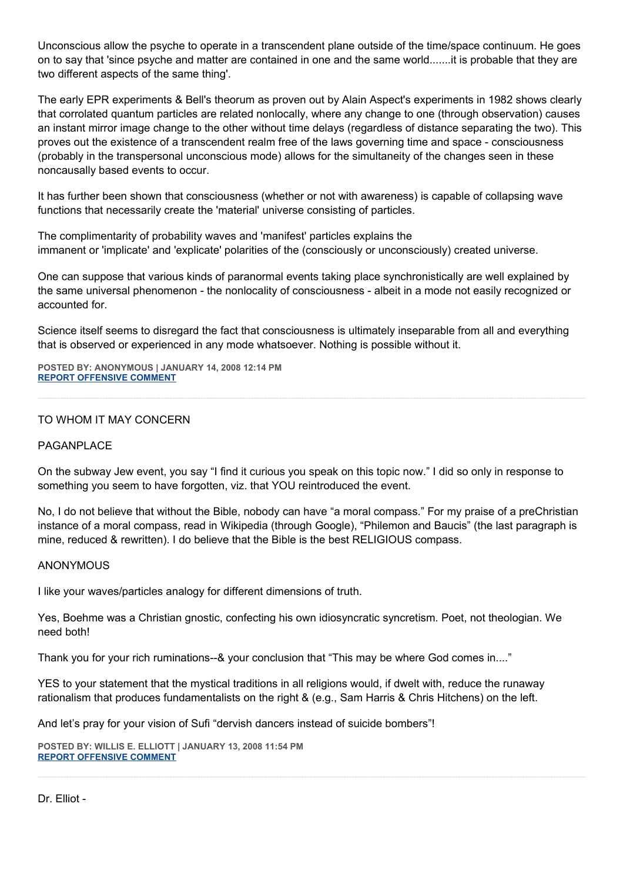Unconscious allow the psyche to operate in a transcendent plane outside of the time/space continuum. He goes on to say that 'since psyche and matter are contained in one and the same world.......it is probable that they are two different aspects of the same thing'.

The early EPR experiments & Bell's theorum as proven out by Alain Aspect's experiments in 1982 shows clearly that corrolated quantum particles are related nonlocally, where any change to one (through observation) causes an instant mirror image change to the other without time delays (regardless of distance separating the two). This proves out the existence of a transcendent realm free of the laws governing time and space - consciousness (probably in the transpersonal unconscious mode) allows for the simultaneity of the changes seen in these noncausally based events to occur.

It has further been shown that consciousness (whether or not with awareness) is capable of collapsing wave functions that necessarily create the 'material' universe consisting of particles.

The complimentarity of probability waves and 'manifest' particles explains the immanent or 'implicate' and 'explicate' polarities of the (consciously or unconsciously) created universe.

One can suppose that various kinds of paranormal events taking place synchronistically are well explained by the same universal phenomenon - the nonlocality of consciousness - albeit in a mode not easily recognized or accounted for.

Science itself seems to disregard the fact that consciousness is ultimately inseparable from all and everything that is observed or experienced in any mode whatsoever. Nothing is possible without it.

**POSTED BY: ANONYMOUS | JANUARY 14, 2008 12:14 PM [REPORT OFFENSIVE COMMENT](mailto:blogs@washingtonpost.com?subject=On%20Faith%20Panelists%20Blog%20%20%7C%20%20Anonymous%20%20%7C%20%20The%20Jewish%20Mind%20and%20the%20American%20Mind%20%20%7C%20%202120806&body=%0D%0D%0D%0D%0D================%0D?__mode=view%26_type=comment%26id=2120806%26blog_id=618)**

## TO WHOM IT MAY CONCERN

## PAGANPLACE

On the subway Jew event, you say "I find it curious you speak on this topic now." I did so only in response to something you seem to have forgotten, viz. that YOU reintroduced the event.

No, I do not believe that without the Bible, nobody can have "a moral compass." For my praise of a preChristian instance of a moral compass, read in Wikipedia (through Google), "Philemon and Baucis" (the last paragraph is mine, reduced & rewritten). I do believe that the Bible is the best RELIGIOUS compass.

## ANONYMOUS

I like your waves/particles analogy for different dimensions of truth.

Yes, Boehme was a Christian gnostic, confecting his own idiosyncratic syncretism. Poet, not theologian. We need both!

Thank you for your rich ruminations--& your conclusion that "This may be where God comes in...."

YES to your statement that the mystical traditions in all religions would, if dwelt with, reduce the runaway rationalism that produces fundamentalists on the right & (e.g., Sam Harris & Chris Hitchens) on the left.

And let's pray for your vision of Sufi "dervish dancers instead of suicide bombers"!

**POSTED BY: WILLIS E. ELLIOTT | JANUARY 13, 2008 11:54 PM [REPORT OFFENSIVE COMMENT](mailto:blogs@washingtonpost.com?subject=On%20Faith%20Panelists%20Blog%20%20%7C%20%20Willis%20E.%20Elliott%20%20%7C%20%20The%20Jewish%20Mind%20and%20the%20American%20Mind%20%20%7C%20%202118107&body=%0D%0D%0D%0D%0D================%0D?__mode=view%26_type=comment%26id=2118107%26blog_id=618)**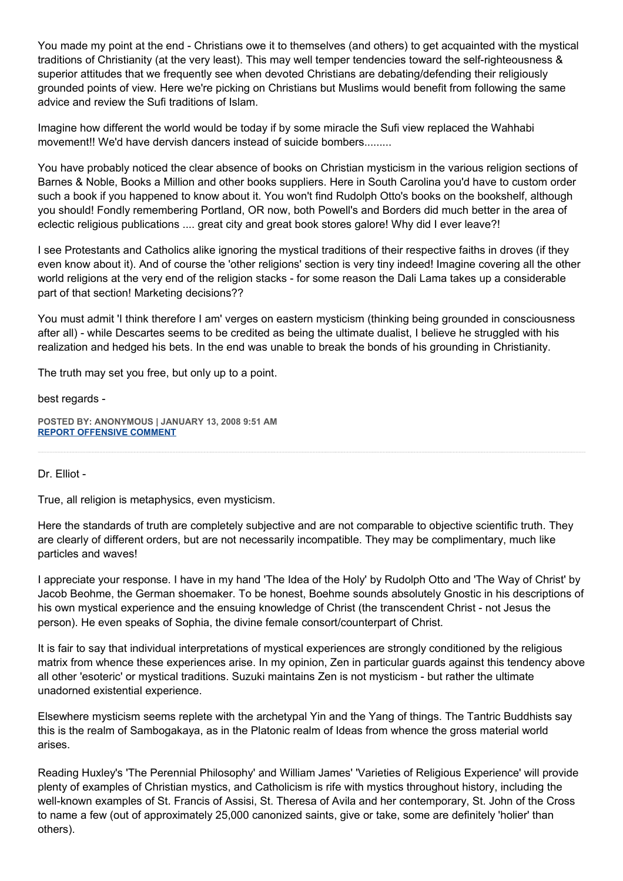You made my point at the end - Christians owe it to themselves (and others) to get acquainted with the mystical traditions of Christianity (at the very least). This may well temper tendencies toward the self-righteousness & superior attitudes that we frequently see when devoted Christians are debating/defending their religiously grounded points of view. Here we're picking on Christians but Muslims would benefit from following the same advice and review the Sufi traditions of Islam.

Imagine how different the world would be today if by some miracle the Sufi view replaced the Wahhabi movement!! We'd have dervish dancers instead of suicide bombers.........

You have probably noticed the clear absence of books on Christian mysticism in the various religion sections of Barnes & Noble, Books a Million and other books suppliers. Here in South Carolina you'd have to custom order such a book if you happened to know about it. You won't find Rudolph Otto's books on the bookshelf, although you should! Fondly remembering Portland, OR now, both Powell's and Borders did much better in the area of eclectic religious publications .... great city and great book stores galore! Why did I ever leave?!

I see Protestants and Catholics alike ignoring the mystical traditions of their respective faiths in droves (if they even know about it). And of course the 'other religions' section is very tiny indeed! Imagine covering all the other world religions at the very end of the religion stacks - for some reason the Dali Lama takes up a considerable part of that section! Marketing decisions??

You must admit 'I think therefore I am' verges on eastern mysticism (thinking being grounded in consciousness after all) - while Descartes seems to be credited as being the ultimate dualist, I believe he struggled with his realization and hedged his bets. In the end was unable to break the bonds of his grounding in Christianity.

The truth may set you free, but only up to a point.

best regards -

**POSTED BY: ANONYMOUS | JANUARY 13, 2008 9:51 AM [REPORT OFFENSIVE COMMENT](mailto:blogs@washingtonpost.com?subject=On%20Faith%20Panelists%20Blog%20%20%7C%20%20Anonymous%20%20%7C%20%20The%20Jewish%20Mind%20and%20the%20American%20Mind%20%20%7C%20%202114592&body=%0D%0D%0D%0D%0D================%0D?__mode=view%26_type=comment%26id=2114592%26blog_id=618)**

Dr. Elliot -

True, all religion is metaphysics, even mysticism.

Here the standards of truth are completely subjective and are not comparable to objective scientific truth. They are clearly of different orders, but are not necessarily incompatible. They may be complimentary, much like particles and waves!

I appreciate your response. I have in my hand 'The Idea of the Holy' by Rudolph Otto and 'The Way of Christ' by Jacob Beohme, the German shoemaker. To be honest, Boehme sounds absolutely Gnostic in his descriptions of his own mystical experience and the ensuing knowledge of Christ (the transcendent Christ - not Jesus the person). He even speaks of Sophia, the divine female consort/counterpart of Christ.

It is fair to say that individual interpretations of mystical experiences are strongly conditioned by the religious matrix from whence these experiences arise. In my opinion, Zen in particular guards against this tendency above all other 'esoteric' or mystical traditions. Suzuki maintains Zen is not mysticism - but rather the ultimate unadorned existential experience.

Elsewhere mysticism seems replete with the archetypal Yin and the Yang of things. The Tantric Buddhists say this is the realm of Sambogakaya, as in the Platonic realm of Ideas from whence the gross material world arises.

Reading Huxley's 'The Perennial Philosophy' and William James' 'Varieties of Religious Experience' will provide plenty of examples of Christian mystics, and Catholicism is rife with mystics throughout history, including the well-known examples of St. Francis of Assisi, St. Theresa of Avila and her contemporary, St. John of the Cross to name a few (out of approximately 25,000 canonized saints, give or take, some are definitely 'holier' than others).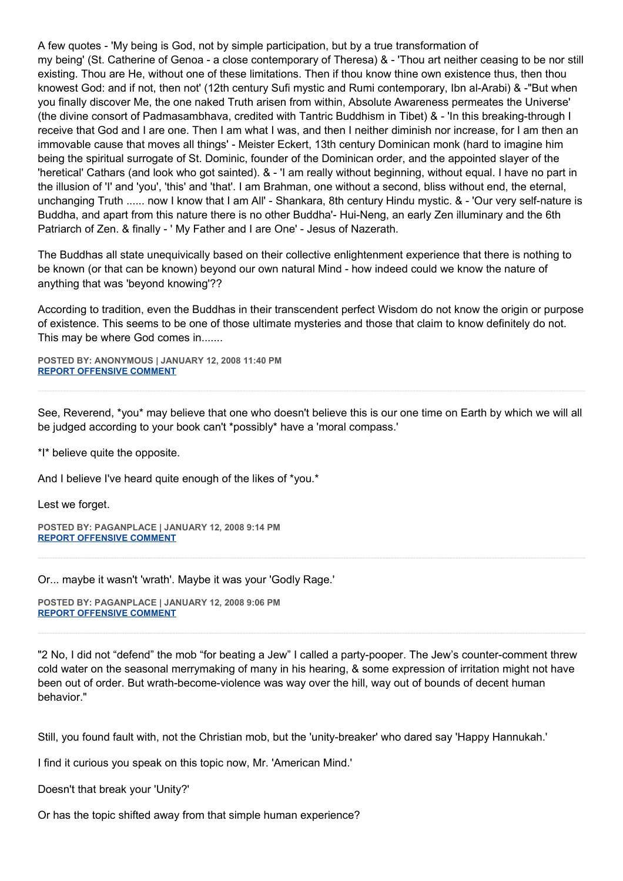A few quotes - 'My being is God, not by simple participation, but by a true transformation of my being' (St. Catherine of Genoa - a close contemporary of Theresa) & - 'Thou art neither ceasing to be nor still existing. Thou are He, without one of these limitations. Then if thou know thine own existence thus, then thou knowest God: and if not, then not' (12th century Sufi mystic and Rumi contemporary, Ibn al-Arabi) & -"But when you finally discover Me, the one naked Truth arisen from within, Absolute Awareness permeates the Universe' (the divine consort of Padmasambhava, credited with Tantric Buddhism in Tibet) & - 'In this breaking-through I receive that God and I are one. Then I am what I was, and then I neither diminish nor increase, for I am then an immovable cause that moves all things' - Meister Eckert, 13th century Dominican monk (hard to imagine him being the spiritual surrogate of St. Dominic, founder of the Dominican order, and the appointed slayer of the 'heretical' Cathars (and look who got sainted). & - 'I am really without beginning, without equal. I have no part in the illusion of 'I' and 'you', 'this' and 'that'. I am Brahman, one without a second, bliss without end, the eternal, unchanging Truth ...... now I know that I am All' - Shankara, 8th century Hindu mystic. & - 'Our very self-nature is Buddha, and apart from this nature there is no other Buddha'- Hui-Neng, an early Zen illuminary and the 6th Patriarch of Zen. & finally - ' My Father and I are One' - Jesus of Nazerath.

The Buddhas all state unequivically based on their collective enlightenment experience that there is nothing to be known (or that can be known) beyond our own natural Mind - how indeed could we know the nature of anything that was 'beyond knowing'??

According to tradition, even the Buddhas in their transcendent perfect Wisdom do not know the origin or purpose of existence. This seems to be one of those ultimate mysteries and those that claim to know definitely do not. This may be where God comes in.......

**POSTED BY: ANONYMOUS | JANUARY 12, 2008 11:40 PM [REPORT OFFENSIVE COMMENT](mailto:blogs@washingtonpost.com?subject=On%20Faith%20Panelists%20Blog%20%20%7C%20%20Anonymous%20%20%7C%20%20The%20Jewish%20Mind%20and%20the%20American%20Mind%20%20%7C%20%202111066&body=%0D%0D%0D%0D%0D================%0D?__mode=view%26_type=comment%26id=2111066%26blog_id=618)**

See, Reverend, \*you\* may believe that one who doesn't believe this is our one time on Earth by which we will all be judged according to your book can't \*possibly\* have a 'moral compass.'

\*I\* believe quite the opposite.

And I believe I've heard quite enough of the likes of \*you.\*

Lest we forget.

**POSTED BY: PAGANPLACE | JANUARY 12, 2008 9:14 PM [REPORT OFFENSIVE COMMENT](mailto:blogs@washingtonpost.com?subject=On%20Faith%20Panelists%20Blog%20%20%7C%20%20Paganplace%20%20%7C%20%20The%20Jewish%20Mind%20and%20the%20American%20Mind%20%20%7C%20%202110307&body=%0D%0D%0D%0D%0D================%0D?__mode=view%26_type=comment%26id=2110307%26blog_id=618)**

Or... maybe it wasn't 'wrath'. Maybe it was your 'Godly Rage.'

**POSTED BY: PAGANPLACE | JANUARY 12, 2008 9:06 PM [REPORT OFFENSIVE COMMENT](mailto:blogs@washingtonpost.com?subject=On%20Faith%20Panelists%20Blog%20%20%7C%20%20Paganplace%20%20%7C%20%20The%20Jewish%20Mind%20and%20the%20American%20Mind%20%20%7C%20%202110268&body=%0D%0D%0D%0D%0D================%0D?__mode=view%26_type=comment%26id=2110268%26blog_id=618)**

"2 No, I did not "defend" the mob "for beating a Jew" I called a party-pooper. The Jew's counter-comment threw cold water on the seasonal merrymaking of many in his hearing, & some expression of irritation might not have been out of order. But wrath-become-violence was way over the hill, way out of bounds of decent human behavior."

Still, you found fault with, not the Christian mob, but the 'unity-breaker' who dared say 'Happy Hannukah.'

I find it curious you speak on this topic now, Mr. 'American Mind.'

Doesn't that break your 'Unity?'

Or has the topic shifted away from that simple human experience?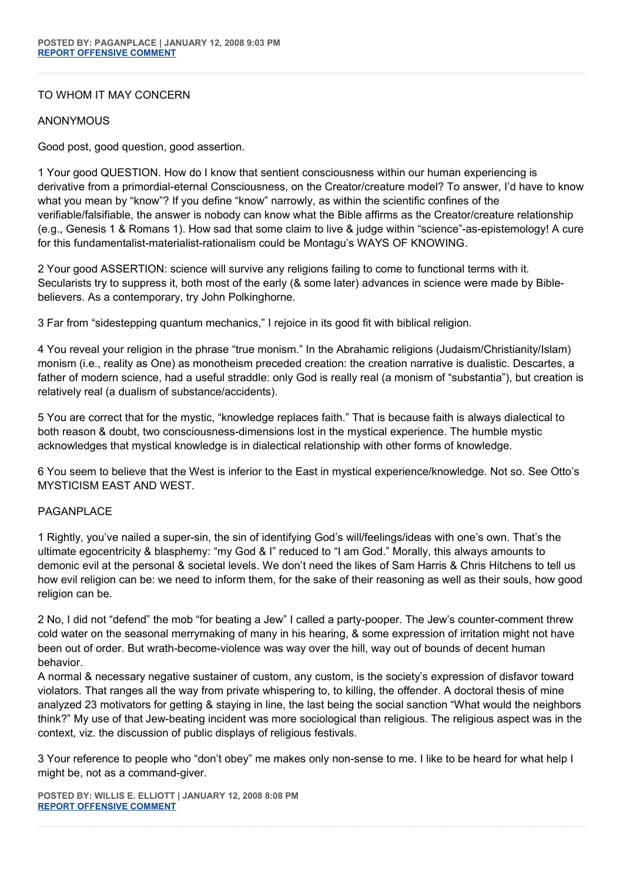## TO WHOM IT MAY CONCERN

## ANONYMOUS

Good post, good question, good assertion.

1 Your good QUESTION. How do I know that sentient consciousness within our human experiencing is derivative from a primordial-eternal Consciousness, on the Creator/creature model? To answer, I'd have to know what you mean by "know"? If you define "know" narrowly, as within the scientific confines of the verifiable/falsifiable, the answer is nobody can know what the Bible affirms as the Creator/creature relationship (e.g., Genesis 1 & Romans 1). How sad that some claim to live & judge within "science"-as-epistemology! A cure for this fundamentalist-materialist-rationalism could be Montagu's WAYS OF KNOWING.

2 Your good ASSERTION: science will survive any religions failing to come to functional terms with it. Secularists try to suppress it, both most of the early (& some later) advances in science were made by Biblebelievers. As a contemporary, try John Polkinghorne.

3 Far from "sidestepping quantum mechanics," I rejoice in its good fit with biblical religion.

4 You reveal your religion in the phrase "true monism." In the Abrahamic religions (Judaism/Christianity/Islam) monism (i.e., reality as One) as monotheism preceded creation: the creation narrative is dualistic. Descartes, a father of modern science, had a useful straddle: only God is really real (a monism of "substantia"), but creation is relatively real (a dualism of substance/accidents).

5 You are correct that for the mystic, "knowledge replaces faith." That is because faith is always dialectical to both reason & doubt, two consciousness-dimensions lost in the mystical experience. The humble mystic acknowledges that mystical knowledge is in dialectical relationship with other forms of knowledge.

6 You seem to believe that the West is inferior to the East in mystical experience/knowledge. Not so. See Otto's MYSTICISM EAST AND WEST.

## PAGANPI ACF

1 Rightly, you've nailed a super-sin, the sin of identifying God's will/feelings/ideas with one's own. That's the ultimate egocentricity & blasphemy: "my God & I" reduced to "I am God." Morally, this always amounts to demonic evil at the personal & societal levels. We don't need the likes of Sam Harris & Chris Hitchens to tell us how evil religion can be: we need to inform them, for the sake of their reasoning as well as their souls, how good religion can be.

2 No, I did not "defend" the mob "for beating a Jew" I called a party-pooper. The Jew's counter-comment threw cold water on the seasonal merrymaking of many in his hearing, & some expression of irritation might not have been out of order. But wrath-become-violence was way over the hill, way out of bounds of decent human behavior.

A normal & necessary negative sustainer of custom, any custom, is the society's expression of disfavor toward violators. That ranges all the way from private whispering to, to killing, the offender. A doctoral thesis of mine analyzed 23 motivators for getting & staying in line, the last being the social sanction "What would the neighbors think?" My use of that Jew-beating incident was more sociological than religious. The religious aspect was in the context, viz. the discussion of public displays of religious festivals.

3 Your reference to people who "don't obey" me makes only non-sense to me. I like to be heard for what help I might be, not as a command-giver.

**POSTED BY: WILLIS E. ELLIOTT | JANUARY 12, 2008 8:08 PM [REPORT OFFENSIVE COMMENT](mailto:blogs@washingtonpost.com?subject=On%20Faith%20Panelists%20Blog%20%20%7C%20%20Willis%20E.%20Elliott%20%20%7C%20%20The%20Jewish%20Mind%20and%20the%20American%20Mind%20%20%7C%20%202109973&body=%0D%0D%0D%0D%0D================%0D?__mode=view%26_type=comment%26id=2109973%26blog_id=618)**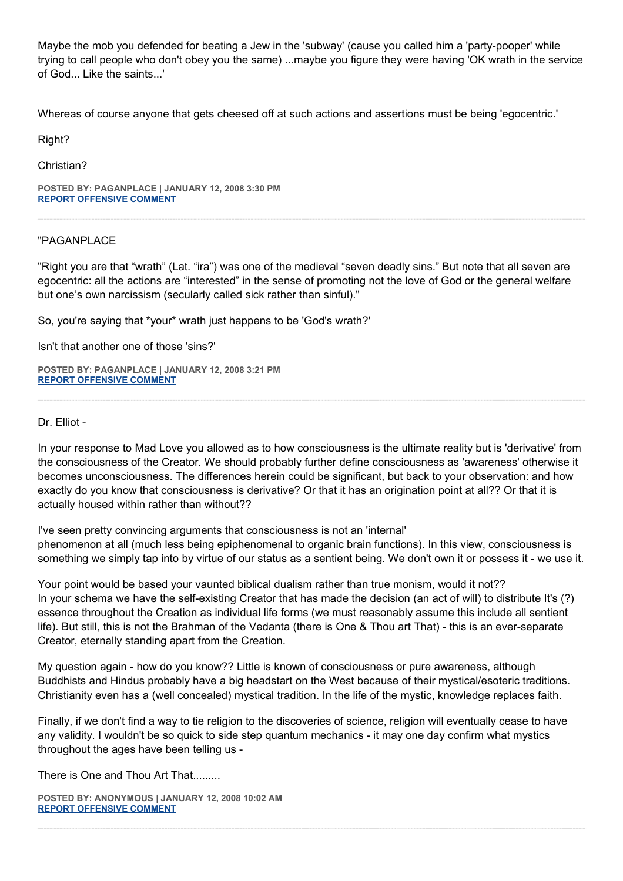Maybe the mob you defended for beating a Jew in the 'subway' (cause you called him a 'party-pooper' while trying to call people who don't obey you the same) ...maybe you figure they were having 'OK wrath in the service of God... Like the saints...'

Whereas of course anyone that gets cheesed off at such actions and assertions must be being 'egocentric.'

Right?

Christian?

**POSTED BY: PAGANPLACE | JANUARY 12, 2008 3:30 PM [REPORT OFFENSIVE COMMENT](mailto:blogs@washingtonpost.com?subject=On%20Faith%20Panelists%20Blog%20%20%7C%20%20Paganplace%20%20%7C%20%20The%20Jewish%20Mind%20and%20the%20American%20Mind%20%20%7C%20%202108675&body=%0D%0D%0D%0D%0D================%0D?__mode=view%26_type=comment%26id=2108675%26blog_id=618)**

## "PAGANPLACE

"Right you are that "wrath" (Lat. "ira") was one of the medieval "seven deadly sins." But note that all seven are egocentric: all the actions are "interested" in the sense of promoting not the love of God or the general welfare but one's own narcissism (secularly called sick rather than sinful)."

So, you're saying that \*your\* wrath just happens to be 'God's wrath?'

Isn't that another one of those 'sins?'

**POSTED BY: PAGANPLACE | JANUARY 12, 2008 3:21 PM [REPORT OFFENSIVE COMMENT](mailto:blogs@washingtonpost.com?subject=On%20Faith%20Panelists%20Blog%20%20%7C%20%20Paganplace%20%20%7C%20%20The%20Jewish%20Mind%20and%20the%20American%20Mind%20%20%7C%20%202108652&body=%0D%0D%0D%0D%0D================%0D?__mode=view%26_type=comment%26id=2108652%26blog_id=618)**

Dr. Elliot -

In your response to Mad Love you allowed as to how consciousness is the ultimate reality but is 'derivative' from the consciousness of the Creator. We should probably further define consciousness as 'awareness' otherwise it becomes unconsciousness. The differences herein could be significant, but back to your observation: and how exactly do you know that consciousness is derivative? Or that it has an origination point at all?? Or that it is actually housed within rather than without??

I've seen pretty convincing arguments that consciousness is not an 'internal' phenomenon at all (much less being epiphenomenal to organic brain functions). In this view, consciousness is something we simply tap into by virtue of our status as a sentient being. We don't own it or possess it - we use it.

Your point would be based your vaunted biblical dualism rather than true monism, would it not?? In your schema we have the self-existing Creator that has made the decision (an act of will) to distribute It's (?) essence throughout the Creation as individual life forms (we must reasonably assume this include all sentient life). But still, this is not the Brahman of the Vedanta (there is One & Thou art That) - this is an ever-separate Creator, eternally standing apart from the Creation.

My question again - how do you know?? Little is known of consciousness or pure awareness, although Buddhists and Hindus probably have a big headstart on the West because of their mystical/esoteric traditions. Christianity even has a (well concealed) mystical tradition. In the life of the mystic, knowledge replaces faith.

Finally, if we don't find a way to tie religion to the discoveries of science, religion will eventually cease to have any validity. I wouldn't be so quick to side step quantum mechanics - it may one day confirm what mystics throughout the ages have been telling us -

There is One and Thou Art That.........

**POSTED BY: ANONYMOUS | JANUARY 12, 2008 10:02 AM [REPORT OFFENSIVE COMMENT](mailto:blogs@washingtonpost.com?subject=On%20Faith%20Panelists%20Blog%20%20%7C%20%20Anonymous%20%20%7C%20%20The%20Jewish%20Mind%20and%20the%20American%20Mind%20%20%7C%20%202107343&body=%0D%0D%0D%0D%0D================%0D?__mode=view%26_type=comment%26id=2107343%26blog_id=618)**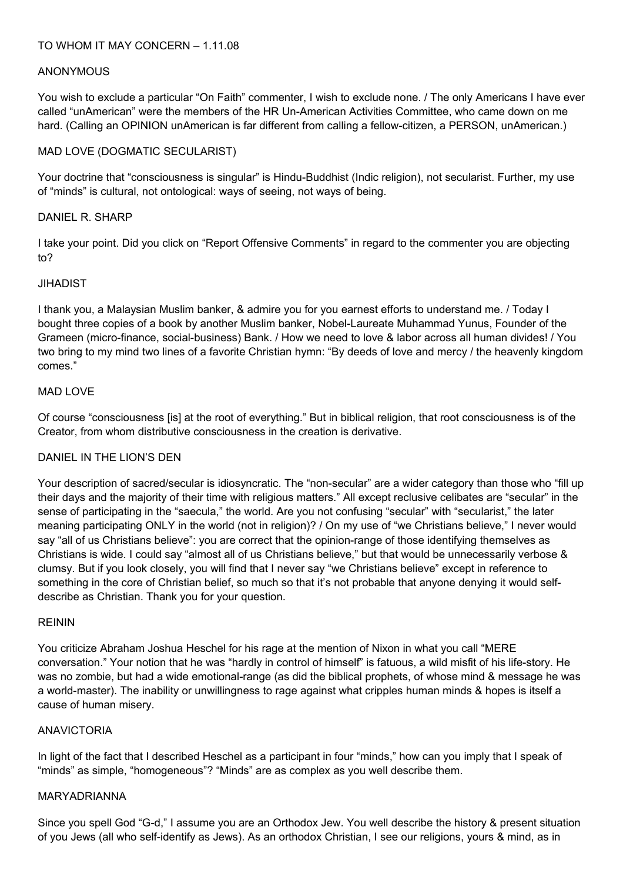## **ANONYMOUS**

You wish to exclude a particular "On Faith" commenter, I wish to exclude none. / The only Americans I have ever called "unAmerican" were the members of the HR Un-American Activities Committee, who came down on me hard. (Calling an OPINION unAmerican is far different from calling a fellow-citizen, a PERSON, unAmerican.)

## MAD LOVE (DOGMATIC SECULARIST)

Your doctrine that "consciousness is singular" is Hindu-Buddhist (Indic religion), not secularist. Further, my use of "minds" is cultural, not ontological: ways of seeing, not ways of being.

## DANIEL R. SHARP

I take your point. Did you click on "Report Offensive Comments" in regard to the commenter you are objecting to?

## JIHADIST

I thank you, a Malaysian Muslim banker, & admire you for you earnest efforts to understand me. / Today I bought three copies of a book by another Muslim banker, Nobel-Laureate Muhammad Yunus, Founder of the Grameen (micro-finance, social-business) Bank. / How we need to love & labor across all human divides! / You two bring to my mind two lines of a favorite Christian hymn: "By deeds of love and mercy / the heavenly kingdom comes."

## MAD LOVE

Of course "consciousness [is] at the root of everything." But in biblical religion, that root consciousness is of the Creator, from whom distributive consciousness in the creation is derivative.

## DANIEL IN THE LION'S DEN

Your description of sacred/secular is idiosyncratic. The "non-secular" are a wider category than those who "fill up their days and the majority of their time with religious matters." All except reclusive celibates are "secular" in the sense of participating in the "saecula," the world. Are you not confusing "secular" with "secularist," the later meaning participating ONLY in the world (not in religion)? / On my use of "we Christians believe," I never would say "all of us Christians believe": you are correct that the opinion-range of those identifying themselves as Christians is wide. I could say "almost all of us Christians believe," but that would be unnecessarily verbose & clumsy. But if you look closely, you will find that I never say "we Christians believe" except in reference to something in the core of Christian belief, so much so that it's not probable that anyone denying it would selfdescribe as Christian. Thank you for your question.

## REININ

You criticize Abraham Joshua Heschel for his rage at the mention of Nixon in what you call "MERE conversation." Your notion that he was "hardly in control of himself" is fatuous, a wild misfit of his life-story. He was no zombie, but had a wide emotional-range (as did the biblical prophets, of whose mind & message he was a world-master). The inability or unwillingness to rage against what cripples human minds & hopes is itself a cause of human misery.

## ANAVICTORIA

In light of the fact that I described Heschel as a participant in four "minds," how can you imply that I speak of "minds" as simple, "homogeneous"? "Minds" are as complex as you well describe them.

## MARYADRIANNA

Since you spell God "G-d," I assume you are an Orthodox Jew. You well describe the history & present situation of you Jews (all who self-identify as Jews). As an orthodox Christian, I see our religions, yours & mind, as in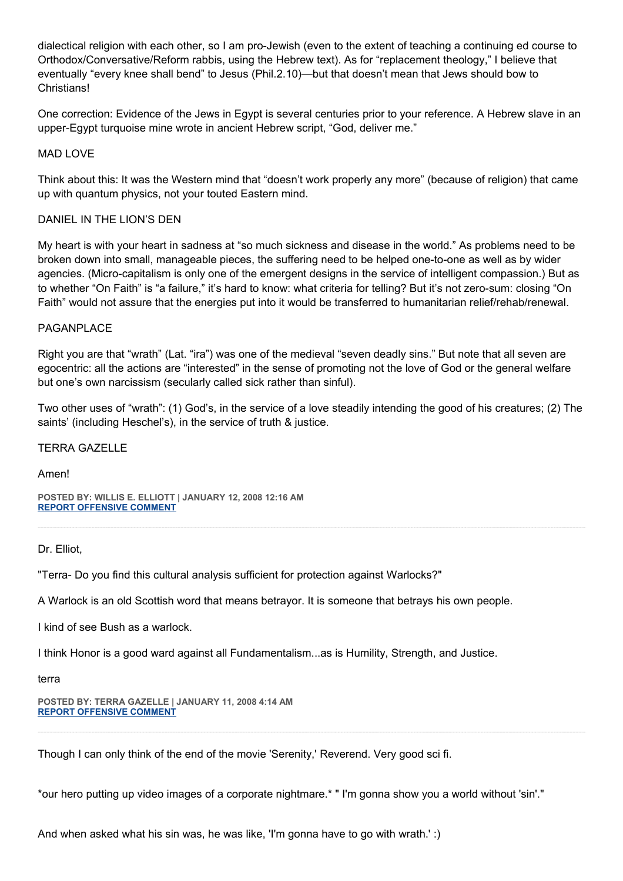dialectical religion with each other, so I am pro-Jewish (even to the extent of teaching a continuing ed course to Orthodox/Conversative/Reform rabbis, using the Hebrew text). As for "replacement theology," I believe that eventually "every knee shall bend" to Jesus (Phil.2.10)—but that doesn't mean that Jews should bow to **Christians!** 

One correction: Evidence of the Jews in Egypt is several centuries prior to your reference. A Hebrew slave in an upper-Egypt turquoise mine wrote in ancient Hebrew script, "God, deliver me."

## MAD LOVE

Think about this: It was the Western mind that "doesn't work properly any more" (because of religion) that came up with quantum physics, not your touted Eastern mind.

## DANIEL IN THE LION'S DEN

My heart is with your heart in sadness at "so much sickness and disease in the world." As problems need to be broken down into small, manageable pieces, the suffering need to be helped one-to-one as well as by wider agencies. (Micro-capitalism is only one of the emergent designs in the service of intelligent compassion.) But as to whether "On Faith" is "a failure," it's hard to know: what criteria for telling? But it's not zero-sum: closing "On Faith" would not assure that the energies put into it would be transferred to humanitarian relief/rehab/renewal.

## PAGANPLACE

Right you are that "wrath" (Lat. "ira") was one of the medieval "seven deadly sins." But note that all seven are egocentric: all the actions are "interested" in the sense of promoting not the love of God or the general welfare but one's own narcissism (secularly called sick rather than sinful).

Two other uses of "wrath": (1) God's, in the service of a love steadily intending the good of his creatures; (2) The saints' (including Heschel's), in the service of truth & justice.

## TERRA GAZELLE

Amen!

**POSTED BY: WILLIS E. ELLIOTT | JANUARY 12, 2008 12:16 AM [REPORT OFFENSIVE COMMENT](mailto:blogs@washingtonpost.com?subject=On%20Faith%20Panelists%20Blog%20%20%7C%20%20Willis%20E.%20Elliott%20%20%7C%20%20The%20Jewish%20Mind%20and%20the%20American%20Mind%20%20%7C%20%202104899&body=%0D%0D%0D%0D%0D================%0D?__mode=view%26_type=comment%26id=2104899%26blog_id=618)**

Dr. Elliot,

"Terra- Do you find this cultural analysis sufficient for protection against Warlocks?"

A Warlock is an old Scottish word that means betrayor. It is someone that betrays his own people.

I kind of see Bush as a warlock.

I think Honor is a good ward against all Fundamentalism...as is Humility, Strength, and Justice.

terra

**POSTED BY: TERRA GAZELLE | JANUARY 11, 2008 4:14 AM [REPORT OFFENSIVE COMMENT](mailto:blogs@washingtonpost.com?subject=On%20Faith%20Panelists%20Blog%20%20%7C%20%20Terra%20Gazelle%20%20%7C%20%20The%20Jewish%20Mind%20and%20the%20American%20Mind%20%20%7C%20%202098688&body=%0D%0D%0D%0D%0D================%0D?__mode=view%26_type=comment%26id=2098688%26blog_id=618)**

Though I can only think of the end of the movie 'Serenity,' Reverend. Very good sci fi.

\*our hero putting up video images of a corporate nightmare.\* " I'm gonna show you a world without 'sin'."

And when asked what his sin was, he was like, 'I'm gonna have to go with wrath.' :)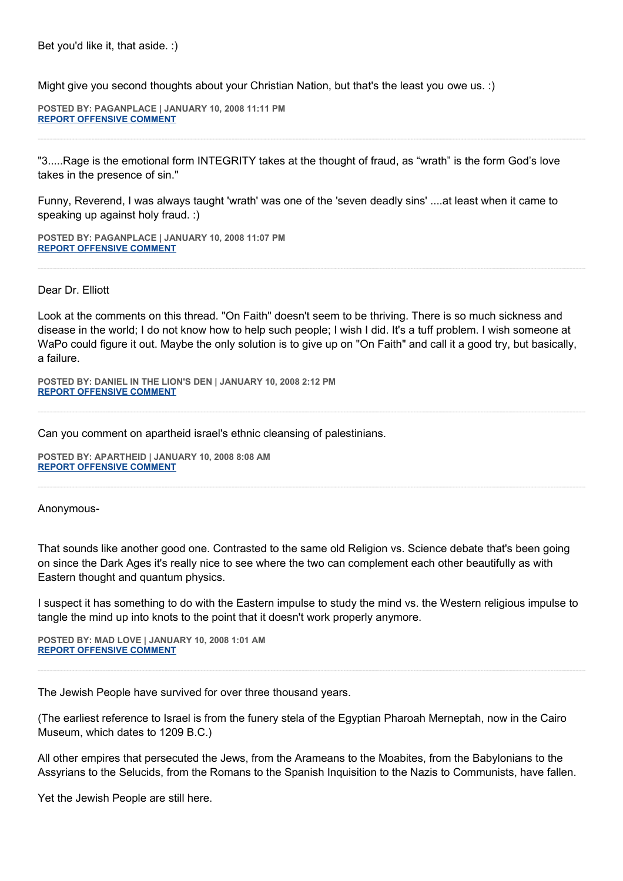Might give you second thoughts about your Christian Nation, but that's the least you owe us. :)

**POSTED BY: PAGANPLACE | JANUARY 10, 2008 11:11 PM [REPORT OFFENSIVE COMMENT](mailto:blogs@washingtonpost.com?subject=On%20Faith%20Panelists%20Blog%20%20%7C%20%20Paganplace%20%20%7C%20%20The%20Jewish%20Mind%20and%20the%20American%20Mind%20%20%7C%20%202097145&body=%0D%0D%0D%0D%0D================%0D?__mode=view%26_type=comment%26id=2097145%26blog_id=618)**

"3.....Rage is the emotional form INTEGRITY takes at the thought of fraud, as "wrath" is the form God's love takes in the presence of sin."

Funny, Reverend, I was always taught 'wrath' was one of the 'seven deadly sins' ....at least when it came to speaking up against holy fraud. :)

**POSTED BY: PAGANPLACE | JANUARY 10, 2008 11:07 PM [REPORT OFFENSIVE COMMENT](mailto:blogs@washingtonpost.com?subject=On%20Faith%20Panelists%20Blog%20%20%7C%20%20Paganplace%20%20%7C%20%20The%20Jewish%20Mind%20and%20the%20American%20Mind%20%20%7C%20%202097117&body=%0D%0D%0D%0D%0D================%0D?__mode=view%26_type=comment%26id=2097117%26blog_id=618)**

Dear Dr. Elliott

Look at the comments on this thread. "On Faith" doesn't seem to be thriving. There is so much sickness and disease in the world; I do not know how to help such people; I wish I did. It's a tuff problem. I wish someone at WaPo could figure it out. Maybe the only solution is to give up on "On Faith" and call it a good try, but basically, a failure.

**POSTED BY: DANIEL IN THE LION'S DEN | JANUARY 10, 2008 2:12 PM [REPORT OFFENSIVE COMMENT](mailto:blogs@washingtonpost.com?subject=On%20Faith%20Panelists%20Blog%20%20%7C%20%20Daniel%20in%20the%20Lion)**

Can you comment on apartheid israel's ethnic cleansing of palestinians.

**POSTED BY: APARTHEID | JANUARY 10, 2008 8:08 AM [REPORT OFFENSIVE COMMENT](mailto:blogs@washingtonpost.com?subject=On%20Faith%20Panelists%20Blog%20%20%7C%20%20apartheid%20%20%7C%20%20The%20Jewish%20Mind%20and%20the%20American%20Mind%20%20%7C%20%202092193&body=%0D%0D%0D%0D%0D================%0D?__mode=view%26_type=comment%26id=2092193%26blog_id=618)**

Anonymous-

That sounds like another good one. Contrasted to the same old Religion vs. Science debate that's been going on since the Dark Ages it's really nice to see where the two can complement each other beautifully as with Eastern thought and quantum physics.

I suspect it has something to do with the Eastern impulse to study the mind vs. the Western religious impulse to tangle the mind up into knots to the point that it doesn't work properly anymore.

**POSTED BY: MAD LOVE | JANUARY 10, 2008 1:01 AM [REPORT OFFENSIVE COMMENT](mailto:blogs@washingtonpost.com?subject=On%20Faith%20Panelists%20Blog%20%20%7C%20%20Mad%20Love%20%20%7C%20%20The%20Jewish%20Mind%20and%20the%20American%20Mind%20%20%7C%20%202089672&body=%0D%0D%0D%0D%0D================%0D?__mode=view%26_type=comment%26id=2089672%26blog_id=618)**

The Jewish People have survived for over three thousand years.

(The earliest reference to Israel is from the funery stela of the Egyptian Pharoah Merneptah, now in the Cairo Museum, which dates to 1209 B.C.)

All other empires that persecuted the Jews, from the Arameans to the Moabites, from the Babylonians to the Assyrians to the Selucids, from the Romans to the Spanish Inquisition to the Nazis to Communists, have fallen.

Yet the Jewish People are still here.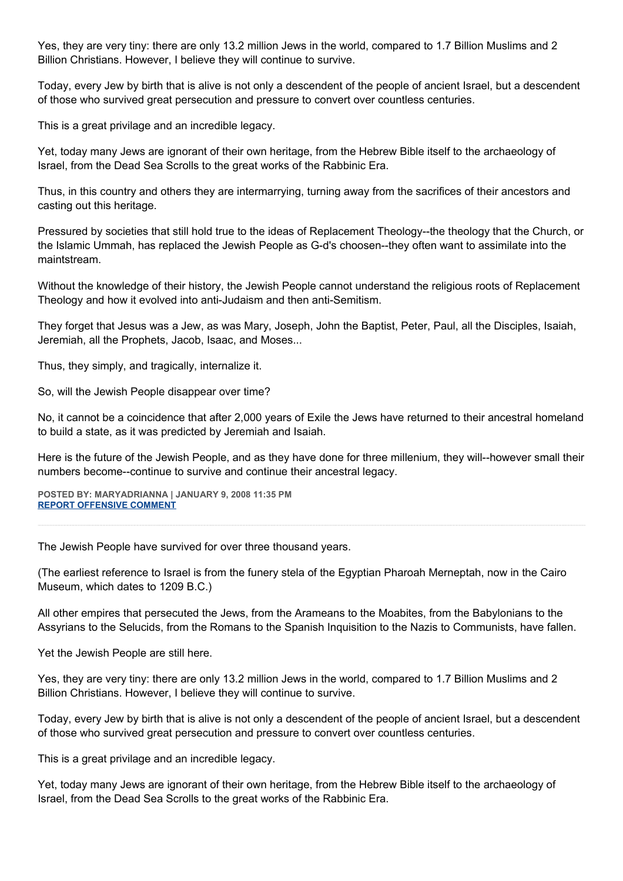Yes, they are very tiny: there are only 13.2 million Jews in the world, compared to 1.7 Billion Muslims and 2 Billion Christians. However, I believe they will continue to survive.

Today, every Jew by birth that is alive is not only a descendent of the people of ancient Israel, but a descendent of those who survived great persecution and pressure to convert over countless centuries.

This is a great privilage and an incredible legacy.

Yet, today many Jews are ignorant of their own heritage, from the Hebrew Bible itself to the archaeology of Israel, from the Dead Sea Scrolls to the great works of the Rabbinic Era.

Thus, in this country and others they are intermarrying, turning away from the sacrifices of their ancestors and casting out this heritage.

Pressured by societies that still hold true to the ideas of Replacement Theology--the theology that the Church, or the Islamic Ummah, has replaced the Jewish People as G-d's choosen--they often want to assimilate into the maintstream.

Without the knowledge of their history, the Jewish People cannot understand the religious roots of Replacement Theology and how it evolved into anti-Judaism and then anti-Semitism.

They forget that Jesus was a Jew, as was Mary, Joseph, John the Baptist, Peter, Paul, all the Disciples, Isaiah, Jeremiah, all the Prophets, Jacob, Isaac, and Moses...

Thus, they simply, and tragically, internalize it.

So, will the Jewish People disappear over time?

No, it cannot be a coincidence that after 2,000 years of Exile the Jews have returned to their ancestral homeland to build a state, as it was predicted by Jeremiah and Isaiah.

Here is the future of the Jewish People, and as they have done for three millenium, they will--however small their numbers become--continue to survive and continue their ancestral legacy.

**POSTED BY: MARYADRIANNA | JANUARY 9, 2008 11:35 PM [REPORT OFFENSIVE COMMENT](mailto:blogs@washingtonpost.com?subject=On%20Faith%20Panelists%20Blog%20%20%7C%20%20MaryAdrianna%20%20%7C%20%20The%20Jewish%20Mind%20and%20the%20American%20Mind%20%20%7C%20%202089112&body=%0D%0D%0D%0D%0D================%0D?__mode=view%26_type=comment%26id=2089112%26blog_id=618)**

The Jewish People have survived for over three thousand years.

(The earliest reference to Israel is from the funery stela of the Egyptian Pharoah Merneptah, now in the Cairo Museum, which dates to 1209 B.C.)

All other empires that persecuted the Jews, from the Arameans to the Moabites, from the Babylonians to the Assyrians to the Selucids, from the Romans to the Spanish Inquisition to the Nazis to Communists, have fallen.

Yet the Jewish People are still here.

Yes, they are very tiny: there are only 13.2 million Jews in the world, compared to 1.7 Billion Muslims and 2 Billion Christians. However, I believe they will continue to survive.

Today, every Jew by birth that is alive is not only a descendent of the people of ancient Israel, but a descendent of those who survived great persecution and pressure to convert over countless centuries.

This is a great privilage and an incredible legacy.

Yet, today many Jews are ignorant of their own heritage, from the Hebrew Bible itself to the archaeology of Israel, from the Dead Sea Scrolls to the great works of the Rabbinic Era.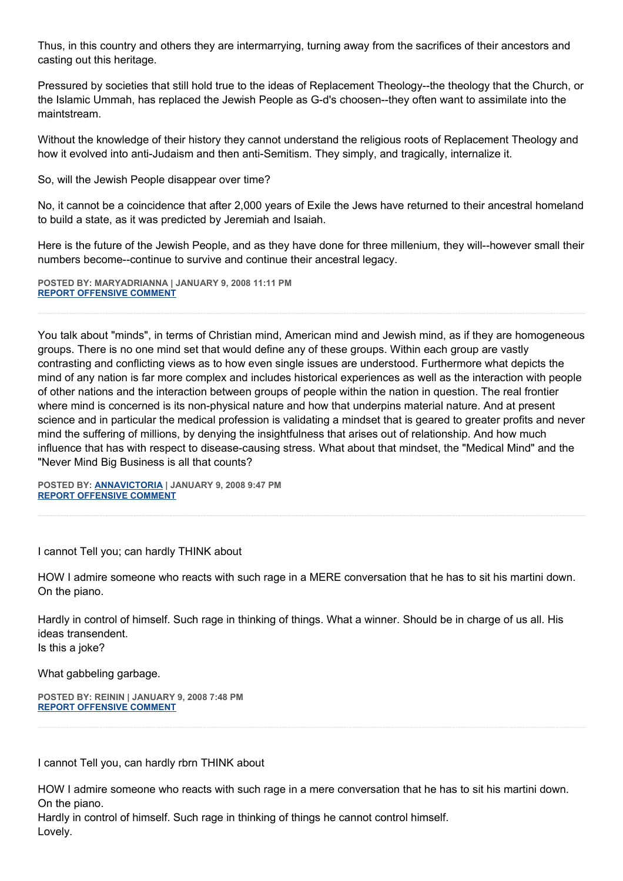Thus, in this country and others they are intermarrying, turning away from the sacrifices of their ancestors and casting out this heritage.

Pressured by societies that still hold true to the ideas of Replacement Theology--the theology that the Church, or the Islamic Ummah, has replaced the Jewish People as G-d's choosen--they often want to assimilate into the maintstream.

Without the knowledge of their history they cannot understand the religious roots of Replacement Theology and how it evolved into anti-Judaism and then anti-Semitism. They simply, and tragically, internalize it.

So, will the Jewish People disappear over time?

No, it cannot be a coincidence that after 2,000 years of Exile the Jews have returned to their ancestral homeland to build a state, as it was predicted by Jeremiah and Isaiah.

Here is the future of the Jewish People, and as they have done for three millenium, they will--however small their numbers become--continue to survive and continue their ancestral legacy.

**POSTED BY: MARYADRIANNA | JANUARY 9, 2008 11:11 PM [REPORT OFFENSIVE COMMENT](mailto:blogs@washingtonpost.com?subject=On%20Faith%20Panelists%20Blog%20%20%7C%20%20MaryAdrianna%20%20%7C%20%20The%20Jewish%20Mind%20and%20the%20American%20Mind%20%20%7C%20%202088984&body=%0D%0D%0D%0D%0D================%0D?__mode=view%26_type=comment%26id=2088984%26blog_id=618)**

You talk about "minds", in terms of Christian mind, American mind and Jewish mind, as if they are homogeneous groups. There is no one mind set that would define any of these groups. Within each group are vastly contrasting and conflicting views as to how even single issues are understood. Furthermore what depicts the mind of any nation is far more complex and includes historical experiences as well as the interaction with people of other nations and the interaction between groups of people within the nation in question. The real frontier where mind is concerned is its non-physical nature and how that underpins material nature. And at present science and in particular the medical profession is validating a mindset that is geared to greater profits and never mind the suffering of millions, by denying the insightfulness that arises out of relationship. And how much influence that has with respect to disease-causing stress. What about that mindset, the "Medical Mind" and the "Never Mind Big Business is all that counts?

**POSTED BY: [ANNAVICTORIA](http://http/www.annavictoria.wordpress.com) | JANUARY 9, 2008 9:47 PM [REPORT OFFENSIVE COMMENT](mailto:blogs@washingtonpost.com?subject=On%20Faith%20Panelists%20Blog%20%20%7C%20%20Annavictoria%20%20%7C%20%20The%20Jewish%20Mind%20and%20the%20American%20Mind%20%20%7C%20%202088379&body=%0D%0D%0D%0D%0D================%0D?__mode=view%26_type=comment%26id=2088379%26blog_id=618)**

I cannot Tell you; can hardly THINK about

HOW I admire someone who reacts with such rage in a MERE conversation that he has to sit his martini down. On the piano.

Hardly in control of himself. Such rage in thinking of things. What a winner. Should be in charge of us all. His ideas transendent. Is this a joke?

What gabbeling garbage.

**POSTED BY: REININ | JANUARY 9, 2008 7:48 PM [REPORT OFFENSIVE COMMENT](mailto:blogs@washingtonpost.com?subject=On%20Faith%20Panelists%20Blog%20%20%7C%20%20reinin%20%20%7C%20%20The%20Jewish%20Mind%20and%20the%20American%20Mind%20%20%7C%20%202087643&body=%0D%0D%0D%0D%0D================%0D?__mode=view%26_type=comment%26id=2087643%26blog_id=618)**

I cannot Tell you, can hardly rbrn THINK about

HOW I admire someone who reacts with such rage in a mere conversation that he has to sit his martini down. On the piano.

Hardly in control of himself. Such rage in thinking of things he cannot control himself. Lovely.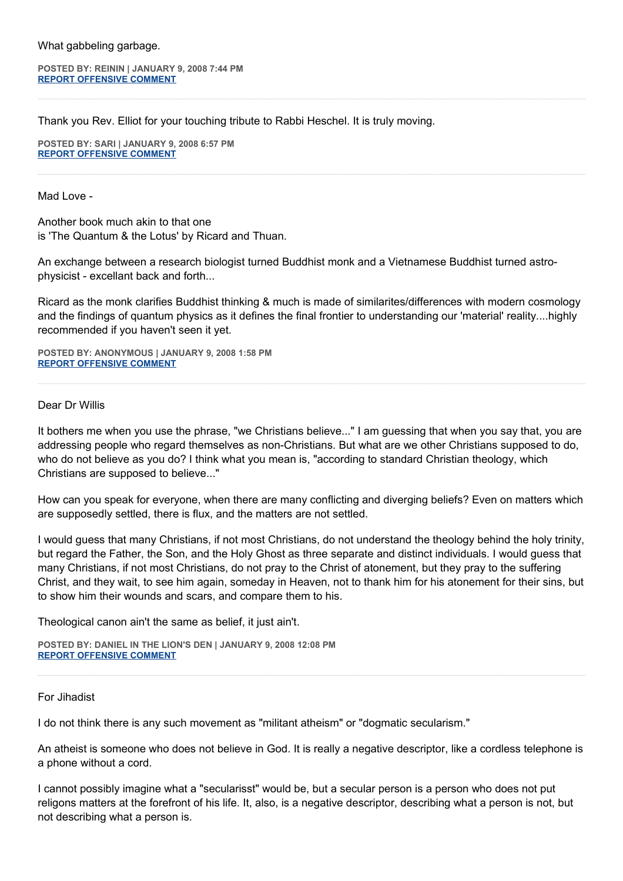What gabbeling garbage.

**POSTED BY: REININ | JANUARY 9, 2008 7:44 PM [REPORT OFFENSIVE COMMENT](mailto:blogs@washingtonpost.com?subject=On%20Faith%20Panelists%20Blog%20%20%7C%20%20reinin%20%20%7C%20%20The%20Jewish%20Mind%20and%20the%20American%20Mind%20%20%7C%20%202087614&body=%0D%0D%0D%0D%0D================%0D?__mode=view%26_type=comment%26id=2087614%26blog_id=618)**

Thank you Rev. Elliot for your touching tribute to Rabbi Heschel. It is truly moving.

**POSTED BY: SARI | JANUARY 9, 2008 6:57 PM [REPORT OFFENSIVE COMMENT](mailto:blogs@washingtonpost.com?subject=On%20Faith%20Panelists%20Blog%20%20%7C%20%20Sari%20%20%7C%20%20The%20Jewish%20Mind%20and%20the%20American%20Mind%20%20%7C%20%202087320&body=%0D%0D%0D%0D%0D================%0D?__mode=view%26_type=comment%26id=2087320%26blog_id=618)**

Mad Love -

Another book much akin to that one is 'The Quantum & the Lotus' by Ricard and Thuan.

An exchange between a research biologist turned Buddhist monk and a Vietnamese Buddhist turned astrophysicist - excellant back and forth...

Ricard as the monk clarifies Buddhist thinking & much is made of similarites/differences with modern cosmology and the findings of quantum physics as it defines the final frontier to understanding our 'material' reality....highly recommended if you haven't seen it yet.

**POSTED BY: ANONYMOUS | JANUARY 9, 2008 1:58 PM [REPORT OFFENSIVE COMMENT](mailto:blogs@washingtonpost.com?subject=On%20Faith%20Panelists%20Blog%20%20%7C%20%20Anonymous%20%20%7C%20%20The%20Jewish%20Mind%20and%20the%20American%20Mind%20%20%7C%20%202085568&body=%0D%0D%0D%0D%0D================%0D?__mode=view%26_type=comment%26id=2085568%26blog_id=618)**

#### Dear Dr Willis

It bothers me when you use the phrase, "we Christians believe..." I am guessing that when you say that, you are addressing people who regard themselves as non-Christians. But what are we other Christians supposed to do, who do not believe as you do? I think what you mean is, "according to standard Christian theology, which Christians are supposed to believe..."

How can you speak for everyone, when there are many conflicting and diverging beliefs? Even on matters which are supposedly settled, there is flux, and the matters are not settled.

I would guess that many Christians, if not most Christians, do not understand the theology behind the holy trinity, but regard the Father, the Son, and the Holy Ghost as three separate and distinct individuals. I would guess that many Christians, if not most Christians, do not pray to the Christ of atonement, but they pray to the suffering Christ, and they wait, to see him again, someday in Heaven, not to thank him for his atonement for their sins, but to show him their wounds and scars, and compare them to his.

Theological canon ain't the same as belief, it just ain't.

**POSTED BY: DANIEL IN THE LION'S DEN | JANUARY 9, 2008 12:08 PM [REPORT OFFENSIVE COMMENT](mailto:blogs@washingtonpost.com?subject=On%20Faith%20Panelists%20Blog%20%20%7C%20%20Daniel%20in%20the%20Lion)**

For Jihadist

I do not think there is any such movement as "militant atheism" or "dogmatic secularism."

An atheist is someone who does not believe in God. It is really a negative descriptor, like a cordless telephone is a phone without a cord.

I cannot possibly imagine what a "secularisst" would be, but a secular person is a person who does not put religons matters at the forefront of his life. It, also, is a negative descriptor, describing what a person is not, but not describing what a person is.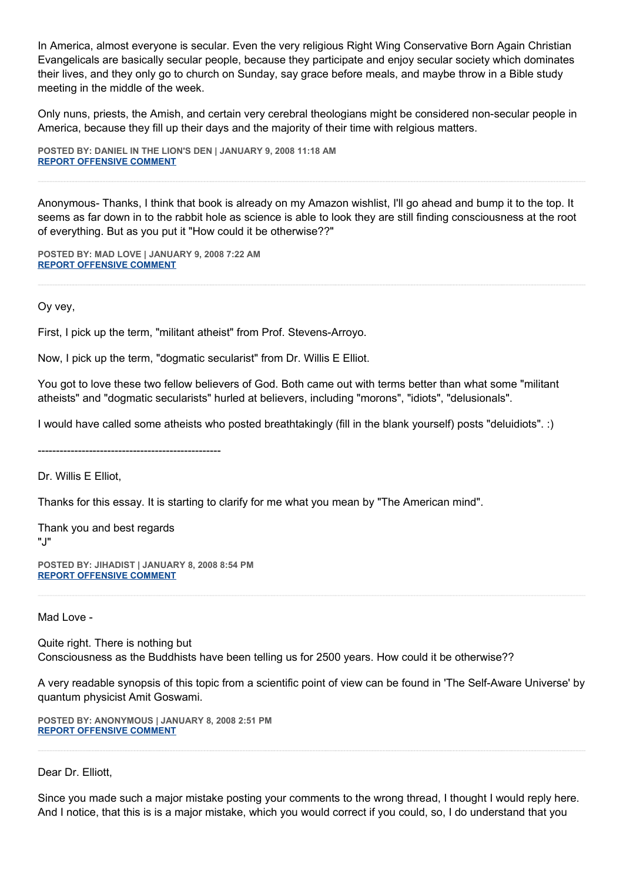In America, almost everyone is secular. Even the very religious Right Wing Conservative Born Again Christian Evangelicals are basically secular people, because they participate and enjoy secular society which dominates their lives, and they only go to church on Sunday, say grace before meals, and maybe throw in a Bible study meeting in the middle of the week.

Only nuns, priests, the Amish, and certain very cerebral theologians might be considered non-secular people in America, because they fill up their days and the majority of their time with relgious matters.

**POSTED BY: DANIEL IN THE LION'S DEN | JANUARY 9, 2008 11:18 AM [REPORT OFFENSIVE COMMENT](mailto:blogs@washingtonpost.com?subject=On%20Faith%20Panelists%20Blog%20%20%7C%20%20Daniel%20in%20the%20Lion)**

Anonymous- Thanks, I think that book is already on my Amazon wishlist, I'll go ahead and bump it to the top. It seems as far down in to the rabbit hole as science is able to look they are still finding consciousness at the root of everything. But as you put it "How could it be otherwise??"

**POSTED BY: MAD LOVE | JANUARY 9, 2008 7:22 AM [REPORT OFFENSIVE COMMENT](mailto:blogs@washingtonpost.com?subject=On%20Faith%20Panelists%20Blog%20%20%7C%20%20Mad%20Love%20%20%7C%20%20The%20Jewish%20Mind%20and%20the%20American%20Mind%20%20%7C%20%202083601&body=%0D%0D%0D%0D%0D================%0D?__mode=view%26_type=comment%26id=2083601%26blog_id=618)**

Oy vey,

First, I pick up the term, "militant atheist" from Prof. Stevens-Arroyo.

Now, I pick up the term, "dogmatic secularist" from Dr. Willis E Elliot.

You got to love these two fellow believers of God. Both came out with terms better than what some "militant atheists" and "dogmatic secularists" hurled at believers, including "morons", "idiots", "delusionals".

I would have called some atheists who posted breathtakingly (fill in the blank yourself) posts "deluidiots". :)

--------------------------------------------------

Dr. Willis E Elliot,

Thanks for this essay. It is starting to clarify for me what you mean by "The American mind".

Thank you and best regards "J"

**POSTED BY: JIHADIST | JANUARY 8, 2008 8:54 PM [REPORT OFFENSIVE COMMENT](mailto:blogs@washingtonpost.com?subject=On%20Faith%20Panelists%20Blog%20%20%7C%20%20Jihadist%20%20%7C%20%20The%20Jewish%20Mind%20and%20the%20American%20Mind%20%20%7C%20%202080030&body=%0D%0D%0D%0D%0D================%0D?__mode=view%26_type=comment%26id=2080030%26blog_id=618)**

Mad Love -

Quite right. There is nothing but Consciousness as the Buddhists have been telling us for 2500 years. How could it be otherwise??

A very readable synopsis of this topic from a scientific point of view can be found in 'The Self-Aware Universe' by quantum physicist Amit Goswami.

**POSTED BY: ANONYMOUS | JANUARY 8, 2008 2:51 PM [REPORT OFFENSIVE COMMENT](mailto:blogs@washingtonpost.com?subject=On%20Faith%20Panelists%20Blog%20%20%7C%20%20Anonymous%20%20%7C%20%20The%20Jewish%20Mind%20and%20the%20American%20Mind%20%20%7C%20%202077849&body=%0D%0D%0D%0D%0D================%0D?__mode=view%26_type=comment%26id=2077849%26blog_id=618)**

Dear Dr. Elliott,

Since you made such a major mistake posting your comments to the wrong thread, I thought I would reply here. And I notice, that this is is a major mistake, which you would correct if you could, so, I do understand that you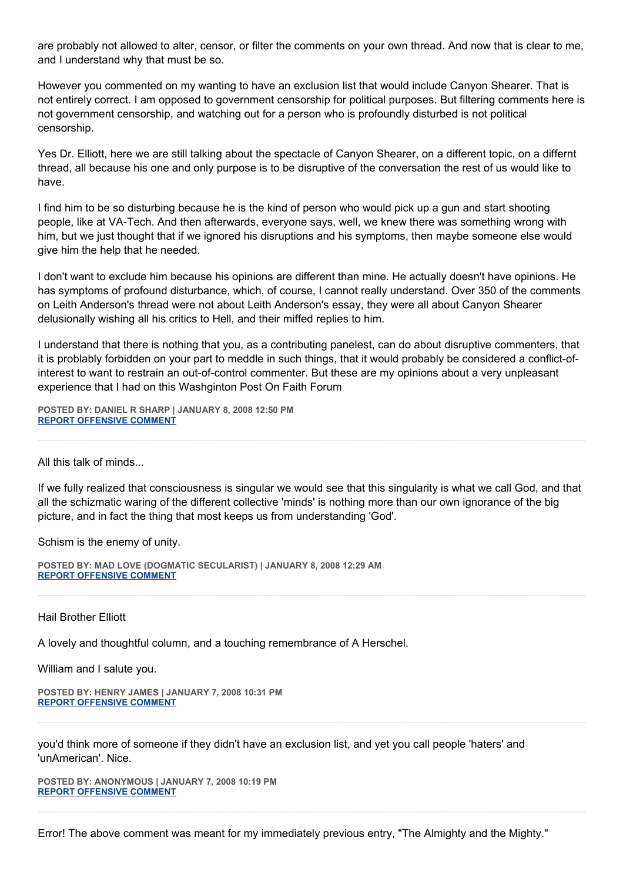are probably not allowed to alter, censor, or filter the comments on your own thread. And now that is clear to me, and I understand why that must be so.

However you commented on my wanting to have an exclusion list that would include Canyon Shearer. That is not entirely correct. I am opposed to government censorship for political purposes. But filtering comments here is not government censorship, and watching out for a person who is profoundly disturbed is not political censorship.

Yes Dr. Elliott, here we are still talking about the spectacle of Canyon Shearer, on a different topic, on a differnt thread, all because his one and only purpose is to be disruptive of the conversation the rest of us would like to have.

I find him to be so disturbing because he is the kind of person who would pick up a gun and start shooting people, like at VA-Tech. And then afterwards, everyone says, well, we knew there was something wrong with him, but we just thought that if we ignored his disruptions and his symptoms, then maybe someone else would give him the help that he needed.

I don't want to exclude him because his opinions are different than mine. He actually doesn't have opinions. He has symptoms of profound disturbance, which, of course, I cannot really understand. Over 350 of the comments on Leith Anderson's thread were not about Leith Anderson's essay, they were all about Canyon Shearer delusionally wishing all his critics to Hell, and their miffed replies to him.

I understand that there is nothing that you, as a contributing panelest, can do about disruptive commenters, that it is problably forbidden on your part to meddle in such things, that it would probably be considered a conflict-ofinterest to want to restrain an out-of-control commenter. But these are my opinions about a very unpleasant experience that I had on this Washginton Post On Faith Forum

**POSTED BY: DANIEL R SHARP | JANUARY 8, 2008 12:50 PM [REPORT OFFENSIVE COMMENT](mailto:blogs@washingtonpost.com?subject=On%20Faith%20Panelists%20Blog%20%20%7C%20%20Daniel%20R%20Sharp%20%20%7C%20%20The%20Jewish%20Mind%20and%20the%20American%20Mind%20%20%7C%20%202077181&body=%0D%0D%0D%0D%0D================%0D?__mode=view%26_type=comment%26id=2077181%26blog_id=618)**

All this talk of minds...

If we fully realized that consciousness is singular we would see that this singularity is what we call God, and that all the schizmatic waring of the different collective 'minds' is nothing more than our own ignorance of the big picture, and in fact the thing that most keeps us from understanding 'God'.

Schism is the enemy of unity.

**POSTED BY: MAD LOVE (DOGMATIC SECULARIST) | JANUARY 8, 2008 12:29 AM [REPORT OFFENSIVE COMMENT](mailto:blogs@washingtonpost.com?subject=On%20Faith%20Panelists%20Blog%20%20%7C%20%20Mad%20Love%20(dogmatic%20secularist)%20%20%7C%20%20The%20Jewish%20Mind%20and%20the%20American%20Mind%20%20%7C%20%202073031&body=%0D%0D%0D%0D%0D================%0D?__mode=view%26_type=comment%26id=2073031%26blog_id=618)**

Hail Brother Elliott

A lovely and thoughtful column, and a touching remembrance of A Herschel.

William and I salute you.

```
POSTED BY: HENRY JAMES | JANUARY 7, 2008 10:31 PM
REPORT OFFENSIVE COMMENT
```
you'd think more of someone if they didn't have an exclusion list, and yet you call people 'haters' and 'unAmerican'. Nice.

**POSTED BY: ANONYMOUS | JANUARY 7, 2008 10:19 PM [REPORT OFFENSIVE COMMENT](mailto:blogs@washingtonpost.com?subject=On%20Faith%20Panelists%20Blog%20%20%7C%20%20Anonymous%20%20%7C%20%20The%20Jewish%20Mind%20and%20the%20American%20Mind%20%20%7C%20%202072240&body=%0D%0D%0D%0D%0D================%0D?__mode=view%26_type=comment%26id=2072240%26blog_id=618)**

Error! The above comment was meant for my immediately previous entry, "The Almighty and the Mighty."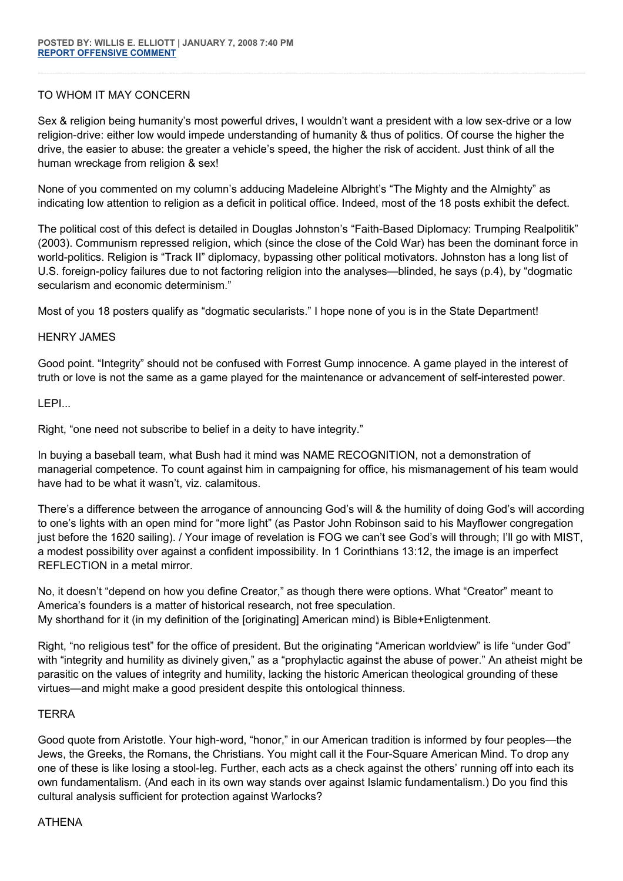## TO WHOM IT MAY CONCERN

Sex & religion being humanity's most powerful drives, I wouldn't want a president with a low sex-drive or a low religion-drive: either low would impede understanding of humanity & thus of politics. Of course the higher the drive, the easier to abuse: the greater a vehicle's speed, the higher the risk of accident. Just think of all the human wreckage from religion & sex!

None of you commented on my column's adducing Madeleine Albright's "The Mighty and the Almighty" as indicating low attention to religion as a deficit in political office. Indeed, most of the 18 posts exhibit the defect.

The political cost of this defect is detailed in Douglas Johnston's "Faith-Based Diplomacy: Trumping Realpolitik" (2003). Communism repressed religion, which (since the close of the Cold War) has been the dominant force in world-politics. Religion is "Track II" diplomacy, bypassing other political motivators. Johnston has a long list of U.S. foreign-policy failures due to not factoring religion into the analyses—blinded, he says (p.4), by "dogmatic secularism and economic determinism."

Most of you 18 posters qualify as "dogmatic secularists." I hope none of you is in the State Department!

## HENRY JAMES

Good point. "Integrity" should not be confused with Forrest Gump innocence. A game played in the interest of truth or love is not the same as a game played for the maintenance or advancement of self-interested power.

## LEPI...

Right, "one need not subscribe to belief in a deity to have integrity."

In buying a baseball team, what Bush had it mind was NAME RECOGNITION, not a demonstration of managerial competence. To count against him in campaigning for office, his mismanagement of his team would have had to be what it wasn't, viz. calamitous.

There's a difference between the arrogance of announcing God's will & the humility of doing God's will according to one's lights with an open mind for "more light" (as Pastor John Robinson said to his Mayflower congregation just before the 1620 sailing). / Your image of revelation is FOG we can't see God's will through; I'll go with MIST, a modest possibility over against a confident impossibility. In 1 Corinthians 13:12, the image is an imperfect REFLECTION in a metal mirror.

No, it doesn't "depend on how you define Creator," as though there were options. What "Creator" meant to America's founders is a matter of historical research, not free speculation. My shorthand for it (in my definition of the [originating] American mind) is Bible+Enligtenment.

Right, "no religious test" for the office of president. But the originating "American worldview" is life "under God" with "integrity and humility as divinely given," as a "prophylactic against the abuse of power." An atheist might be parasitic on the values of integrity and humility, lacking the historic American theological grounding of these virtues—and might make a good president despite this ontological thinness.

## **TERRA**

Good quote from Aristotle. Your high-word, "honor," in our American tradition is informed by four peoples—the Jews, the Greeks, the Romans, the Christians. You might call it the Four-Square American Mind. To drop any one of these is like losing a stool-leg. Further, each acts as a check against the others' running off into each its own fundamentalism. (And each in its own way stands over against Islamic fundamentalism.) Do you find this cultural analysis sufficient for protection against Warlocks?

## ATHENA